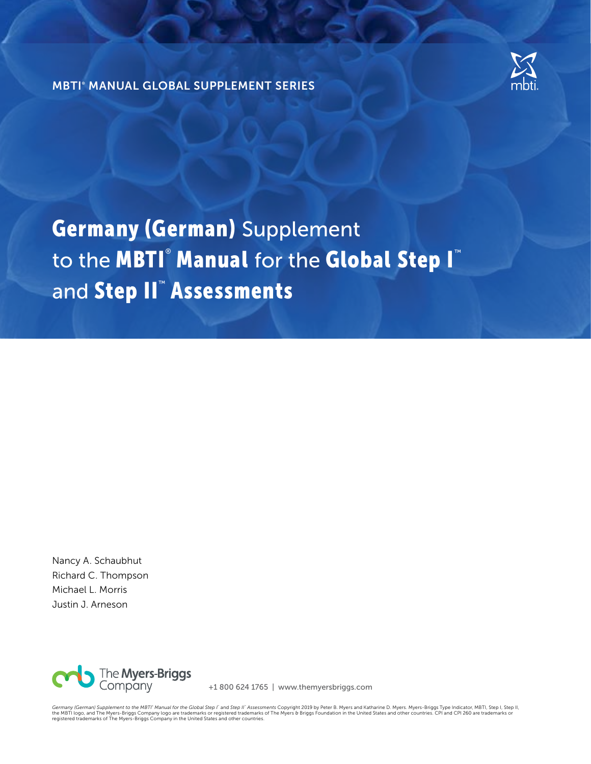

MBTI® MANUAL GLOBAL SUPPLEMENT SERIES

Germany (German) Supplement to the MBTI® Manual for the Global Step I<sup>™</sup> and Step II™ Assessments

Nancy A. Schaubhut Richard C. Thompson Michael L. Morris Justin J. Arneson



+1 800 624 1765 | www.themyersbriggs.com

Germany (German) Supplement to the MBTl' Manual for the Global Step I` and Step II` Assessments Copyright 2019 by Peter B. Myers and Katharine D. Myers. Myers-Briggs Type Indicator, MBTl, Step II, Step II, Step II,<br>the MBT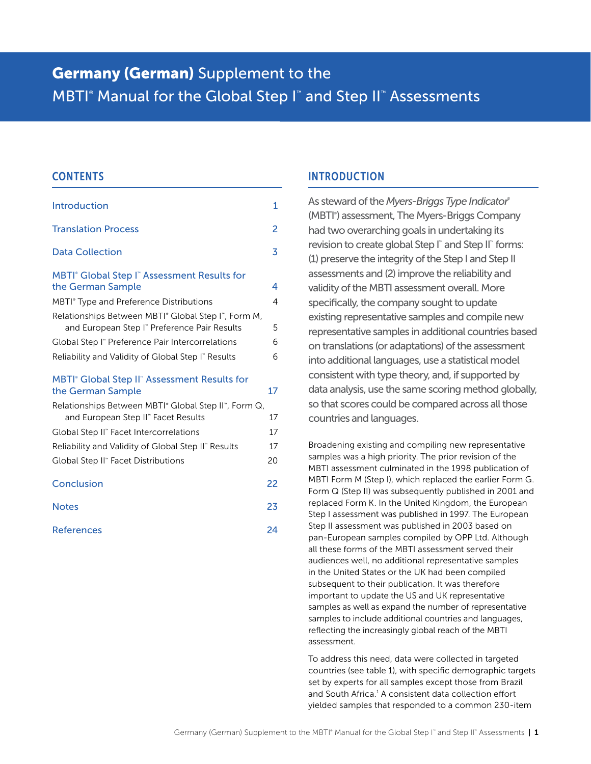# **Germany (German)** Supplement to the MBTI<sup>®</sup> Manual for the Global Step I<sup>™</sup> and Step II™ Assessments

## **CONTENTS**

| Introduction                                                                                                                 | 1  |
|------------------------------------------------------------------------------------------------------------------------------|----|
| <b>Translation Process</b>                                                                                                   | 2  |
| <b>Data Collection</b>                                                                                                       | 3  |
| MBTI <sup>®</sup> Global Step I <sup>™</sup> Assessment Results for<br>the German Sample                                     | 4  |
| MBTI <sup>®</sup> Type and Preference Distributions                                                                          | 4  |
| Relationships Between MBTI <sup>®</sup> Global Step I <sup>®</sup> , Form M,<br>and European Step I" Preference Pair Results | 5  |
| Global Step I" Preference Pair Intercorrelations                                                                             | 6  |
| Reliability and Validity of Global Step I" Results                                                                           | 6  |
| MBTI <sup>®</sup> Global Step II <sup>®</sup> Assessment Results for<br>the German Sample                                    | 17 |
| Relationships Between MBTI <sup>®</sup> Global Step II <sup>®</sup> , Form Q,<br>and European Step II" Facet Results         | 17 |
| Global Step II" Facet Intercorrelations                                                                                      | 17 |
| Reliability and Validity of Global Step II" Results                                                                          | 17 |
| Global Step II" Facet Distributions                                                                                          | 20 |
| Conclusion                                                                                                                   | 22 |

| <b>Notes</b> | 23 |
|--------------|----|
|              |    |

| <b>References</b> | 24 |
|-------------------|----|
|-------------------|----|

# INTRODUCTION

As steward of the *Myers-Briggs Type Indicator*® (MBTI<sup>®</sup>) assessment, The Myers-Briggs Company had two overarching goals in undertaking its revision to create global Step I<sup>™</sup> and Step II<sup>™</sup> forms: (1) preserve the integrity of the Step I and Step II assessments and (2) improve the reliability and validity of the MBTI assessment overall. More specifically, the company sought to update existing representative samples and compile new representative samples in additional countries based on translations (or adaptations) of the assessment into additional languages, use a statistical model consistent with type theory, and, if supported by data analysis, use the same scoring method globally, so that scores could be compared across all those countries and languages.

Broadening existing and compiling new representative samples was a high priority. The prior revision of the MBTI assessment culminated in the 1998 publication of MBTI Form M (Step I), which replaced the earlier Form G. Form Q (Step II) was subsequently published in 2001 and replaced Form K. In the United Kingdom, the European Step I assessment was published in 1997. The European Step II assessment was published in 2003 based on pan-European samples compiled by OPP Ltd. Although all these forms of the MBTI assessment served their audiences well, no additional representative samples in the United States or the UK had been compiled subsequent to their publication. It was therefore important to update the US and UK representative samples as well as expand the number of representative samples to include additional countries and languages, reflecting the increasingly global reach of the MBTI assessment.

To address this need, data were collected in targeted countries (see table 1), with specific demographic targets set by experts for all samples except those from Brazil and South Africa.<sup>1</sup> A consistent data collection effort yielded samples that responded to a common 230-item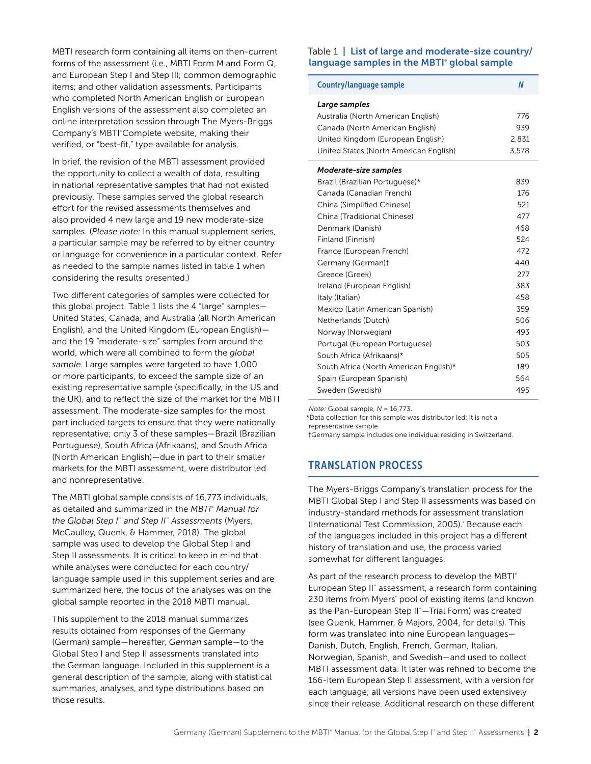<span id="page-2-0"></span>MBTI research form containing all items on then-current forms of the assessment (i.e., MBTI Form M and Form Q, and European Step I and Step II); common demographic items; and other validation assessments. Participants who completed North American English or European English versions of the assessment also completed an online interpretation session through The Myers-Briggs Company's MBTI® Complete website, making their verified, or "best-fit," type available for analysis.

In brief, the revision of the MBTI assessment provided the opportunity to collect a wealth of data, resulting in national representative samples that had not existed previously. These samples served the global research effort for the revised assessments themselves and also provided 4 new large and 19 new moderate-size samples. (*Please note:* In this manual supplement series, a particular sample may be referred to by either country or language for convenience in a particular context. Refer as needed to the sample names listed in table 1 when considering the results presented.)

Two different categories of samples were collected for this global project. Table 1 lists the 4 "large" samples— United States, Canada, and Australia (all North American English), and the United Kingdom (European English) and the 19 "moderate-size" samples from around the world, which were all combined to form the *global sample.* Large samples were targeted to have 1,000 or more participants, to exceed the sample size of an existing representative sample (specifically, in the US and the UK), and to reflect the size of the market for the MBTI assessment. The moderate-size samples for the most part included targets to ensure that they were nationally representative; only 3 of these samples—Brazil (Brazilian Portuguese), South Africa (Afrikaans), and South Africa (North American English)—due in part to their smaller markets for the MBTI assessment, were distributor led and nonrepresentative.

The MBTI global sample consists of 16,773 individuals, as detailed and summarized in the MBTI<sup>®</sup> Manual for *the Global Step I*™  *and Step II*™  *Assessments* (Myers, McCaulley, Quenk, & Hammer, 2018). The global sample was used to develop the Global Step I and Step II assessments. It is critical to keep in mind that while analyses were conducted for each country/ language sample used in this supplement series and are summarized here, the focus of the analyses was on the global sample reported in the 2018 MBTI manual.

This supplement to the 2018 manual summarizes results obtained from responses of the Germany (German) sample—hereafter, *German* sample—to the Global Step I and Step II assessments translated into the German language. Included in this supplement is a general description of the sample, along with statistical summaries, analyses, and type distributions based on those results.

#### Table 1 | List of large and moderate-size country/ language samples in the MBTI<sup>®</sup> global sample

| <b>Country/language sample</b>         | N     |
|----------------------------------------|-------|
| Large samples                          |       |
| Australia (North American English)     | 776   |
| Canada (North American English)        | 939   |
| United Kingdom (European English)      | 2,831 |
| United States (North American English) | 3,578 |
| Moderate-size samples                  |       |
| Brazil (Brazilian Portuguese)*         | 839   |
| Canada (Canadian French)               | 176   |
| China (Simplified Chinese)             | 521   |
| China (Traditional Chinese)            | 477   |
| Denmark (Danish)                       | 468   |
| Finland (Finnish)                      | 524   |
| France (European French)               | 472   |
| Germany (German)t                      | 440   |
| Greece (Greek)                         | 277   |
| Ireland (European English)             | 383   |
| Italy (Italian)                        | 458   |
| Mexico (Latin American Spanish)        | 359   |
| Netherlands (Dutch)                    | 506   |
| Norway (Norwegian)                     | 493   |
| Portugal (European Portuguese)         | 503   |
| South Africa (Afrikaans)*              | 505   |
| South Africa (North American English)* | 189   |
| Spain (European Spanish)               | 564   |
| Sweden (Swedish)                       | 495   |

*Note:* Global sample, *N* = 16,773.

\*Data collection for this sample was distributor led; it is not a representative sample.

†Germany sample includes one individual residing in Switzerland.

# TRANSLATION PROCESS

The Myers-Briggs Company's translation process for the MBTI Global Step I and Step II assessments was based on industry-standard methods for assessment translation (International Test Commission, 2005).<sup>2</sup> Because each of the languages included in this project has a different history of translation and use, the process varied somewhat for different languages.

As part of the research process to develop the MBTI® European Step II<sup>™</sup> assessment, a research form containing 230 items from Myers' pool of existing items (and known as the Pan-European Step II<sup>™</sup>—Trial Form) was created (see Quenk, Hammer, & Majors, 2004, for details). This form was translated into nine European languages— Danish, Dutch, English, French, German, Italian, Norwegian, Spanish, and Swedish—and used to collect MBTI assessment data. It later was refined to become the 166-item European Step II assessment, with a version for each language; all versions have been used extensively since their release. Additional research on these different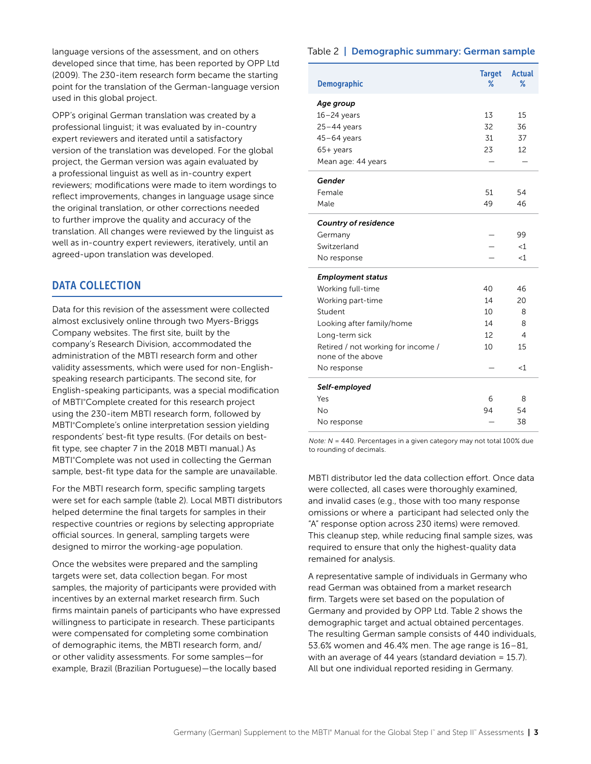<span id="page-3-0"></span>language versions of the assessment, and on others developed since that time, has been reported by OPP Ltd (2009). The 230-item research form became the starting point for the translation of the German-language version used in this global project.

OPP's original German translation was created by a professional linguist; it was evaluated by in-country expert reviewers and iterated until a satisfactory version of the translation was developed. For the global project, the German version was again evaluated by a professional linguist as well as in-country expert reviewers; modifications were made to item wordings to reflect improvements, changes in language usage since the original translation, or other corrections needed to further improve the quality and accuracy of the translation. All changes were reviewed by the linguist as well as in-country expert reviewers, iteratively, until an agreed-upon translation was developed.

# DATA COLLECTION

Data for this revision of the assessment were collected almost exclusively online through two Myers-Briggs Company websites. The first site, built by the company's Research Division, accommodated the administration of the MBTI research form and other validity assessments, which were used for non-Englishspeaking research participants. The second site, for English-speaking participants, was a special modification of MBTI°Complete created for this research project using the 230-item MBTI research form, followed by MBTI°Complete's online interpretation session yielding respondents' best-fit type results. (For details on bestfit type, see chapter 7 in the 2018 MBTI manual.) As MBTI°Complete was not used in collecting the German sample, best-fit type data for the sample are unavailable.

For the MBTI research form, specific sampling targets were set for each sample (table 2). Local MBTI distributors helped determine the final targets for samples in their respective countries or regions by selecting appropriate official sources. In general, sampling targets were designed to mirror the working-age population.

Once the websites were prepared and the sampling targets were set, data collection began. For most samples, the majority of participants were provided with incentives by an external market research firm. Such firms maintain panels of participants who have expressed willingness to participate in research. These participants were compensated for completing some combination of demographic items, the MBTI research form, and/ or other validity assessments. For some samples—for example, Brazil (Brazilian Portuguese)—the locally based

#### Table 2 | Demographic summary: German sample

| <b>Demographic</b>                 | <b>Target</b><br>℅ | <b>Actual</b><br>% |
|------------------------------------|--------------------|--------------------|
| Age group                          |                    |                    |
| $16 - 24$ years                    | 13                 | 15                 |
| $25 - 44$ years                    | 32                 | 36                 |
| $45-64$ years                      | 31                 | 37                 |
| 65+ years                          | 23                 | 12                 |
| Mean age: 44 years                 |                    |                    |
| Gender                             |                    |                    |
| Female                             | 51                 | 54                 |
| Male                               | 49                 | 46                 |
| <b>Country of residence</b>        |                    |                    |
| Germany                            |                    | 99                 |
| Switzerland                        |                    | $<$ 1              |
| No response                        |                    | $<$ 1              |
| <b>Employment status</b>           |                    |                    |
| Working full-time                  | 40                 | 46                 |
| Working part-time                  | 14                 | 20                 |
| Student                            | 10                 | 8                  |
| Looking after family/home          | 14                 | 8                  |
| Long-term sick                     | 12                 | 4                  |
| Retired / not working for income / | 10                 | 15                 |
| none of the above                  |                    |                    |
| No response                        |                    | <1                 |
| Self-employed                      |                    |                    |
| Yes                                | 6                  | 8                  |
| <b>No</b>                          | 94                 | 54                 |
| No response                        |                    | 38                 |

*Note: N* = 440. Percentages in a given category may not total 100% due to rounding of decimals.

MBTI distributor led the data collection effort. Once data were collected, all cases were thoroughly examined, and invalid cases (e.g., those with too many response omissions or where a participant had selected only the "A" response option across 230 items) were removed. This cleanup step, while reducing final sample sizes, was required to ensure that only the highest-quality data remained for analysis.

A representative sample of individuals in Germany who read German was obtained from a market research firm. Targets were set based on the population of Germany and provided by OPP Ltd. Table 2 shows the demographic target and actual obtained percentages. The resulting German sample consists of 440 individuals, 53.6% women and 46.4% men. The age range is 16–81, with an average of 44 years (standard deviation = 15.7). All but one individual reported residing in Germany.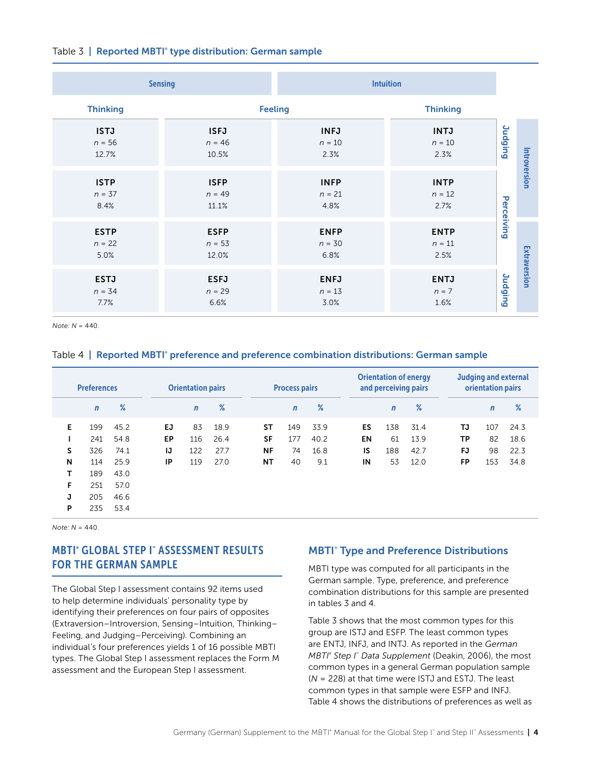#### <span id="page-4-0"></span>Table 3 | Reported MBTI<sup>®</sup> type distribution: German sample

|                                  | <b>Sensing</b>                   | <b>Intuition</b>                |                                 |                |              |
|----------------------------------|----------------------------------|---------------------------------|---------------------------------|----------------|--------------|
| <b>Thinking</b>                  |                                  | <b>Feeling</b>                  | <b>Thinking</b>                 |                |              |
| <b>ISTJ</b><br>$n = 56$<br>12.7% | <b>ISFJ</b><br>$n = 46$<br>10.5% | <b>INFJ</b><br>$n = 10$<br>2.3% | <b>INTJ</b><br>$n = 10$<br>2.3% | <b>Judging</b> |              |
| <b>ISTP</b><br>$n = 37$<br>8.4%  | <b>ISFP</b><br>$n = 49$<br>11.1% | <b>INFP</b><br>$n = 21$<br>4.8% | <b>INTP</b><br>$n = 12$<br>2.7% | Perceiving     | Introversion |
| <b>ESTP</b><br>$n = 22$<br>5.0%  | <b>ESFP</b><br>$n = 53$<br>12.0% | <b>ENFP</b><br>$n = 30$<br>6.8% | <b>ENTP</b><br>$n=11$<br>2.5%   |                |              |
| <b>ESTJ</b><br>$n = 34$<br>7.7%  | <b>ESFJ</b><br>$n = 29$<br>6.6%  | <b>ENFJ</b><br>$n = 13$<br>3.0% | <b>ENTJ</b><br>$n = 7$<br>1.6%  | <b>Judging</b> | Extraversion |

*Note: N* = 440.

#### Table 4 | Reported MBTI° preference and preference combination distributions: German sample

|   | <b>Preferences</b> |      |     | <b>Orientation pairs</b> |      |           | <b>Process pairs</b> |      |           | and perceiving pairs | <b>Orientation of energy</b> |           | orientation pairs | <b>Judging and external</b> |
|---|--------------------|------|-----|--------------------------|------|-----------|----------------------|------|-----------|----------------------|------------------------------|-----------|-------------------|-----------------------------|
|   | $\mathbf n$        | $\%$ |     | $\mathbf n$              | $\%$ |           | $\mathsf{n}$         | $\%$ |           | $\mathbf n$          | %                            |           | $\mathbf n$       | $\%$                        |
| Е | 199                | 45.2 | EJ  | 83                       | 18.9 | SΤ        | 149                  | 33.9 | ES        | 138                  | 31.4                         | TJ        | 107               | 24.3                        |
|   | 241                | 54.8 | EP. | 116                      | 26.4 | <b>SF</b> | 177                  | 40.2 | <b>EN</b> | 61                   | 13.9                         | <b>TP</b> | 82                | 18.6                        |
| s | 326                | 74.1 | IJ  | 122                      | 27.7 | NF        | 74                   | 16.8 | IS        | 188                  | 42.7                         | <b>FJ</b> | 98                | 22.3                        |
| N | 114                | 25.9 | IP  | 119                      | 27.0 | NΤ        | 40                   | 9.1  | IN        | 53                   | 12.0                         | <b>FP</b> | 153               | 34.8                        |
| T | 189                | 43.0 |     |                          |      |           |                      |      |           |                      |                              |           |                   |                             |
| F | 251                | 57.0 |     |                          |      |           |                      |      |           |                      |                              |           |                   |                             |
| J | 205                | 46.6 |     |                          |      |           |                      |      |           |                      |                              |           |                   |                             |
| P | 235                | 53.4 |     |                          |      |           |                      |      |           |                      |                              |           |                   |                             |

*Note: N* = 440.

# MBTI® GLOBAL STEP I™ ASSESSMENT RESULTS FOR THE GERMAN SAMPLE

The Global Step I assessment contains 92 items used to help determine individuals' personality type by identifying their preferences on four pairs of opposites (Extraversion–Introversion, Sensing–Intuition, Thinking– Feeling, and Judging–Perceiving). Combining an individual's four preferences yields 1 of 16 possible MBTI types. The Global Step I assessment replaces the Form M assessment and the European Step I assessment.

## **MBTI<sup>®</sup> Type and Preference Distributions**

MBTI type was computed for all participants in the German sample. Type, preference, and preference combination distributions for this sample are presented in tables 3 and 4.

Table 3 shows that the most common types for this group are ISTJ and ESFP. The least common types are ENTJ, INFJ, and INTJ. As reported in the *German MBTI*<sup>®</sup> Step I<sup>™</sup> Data Supplement (Deakin, 2006), the most common types in a general German population sample (*N* = 228) at that time were ISTJ and ESTJ. The least common types in that sample were ESFP and INFJ. Table 4 shows the distributions of preferences as well as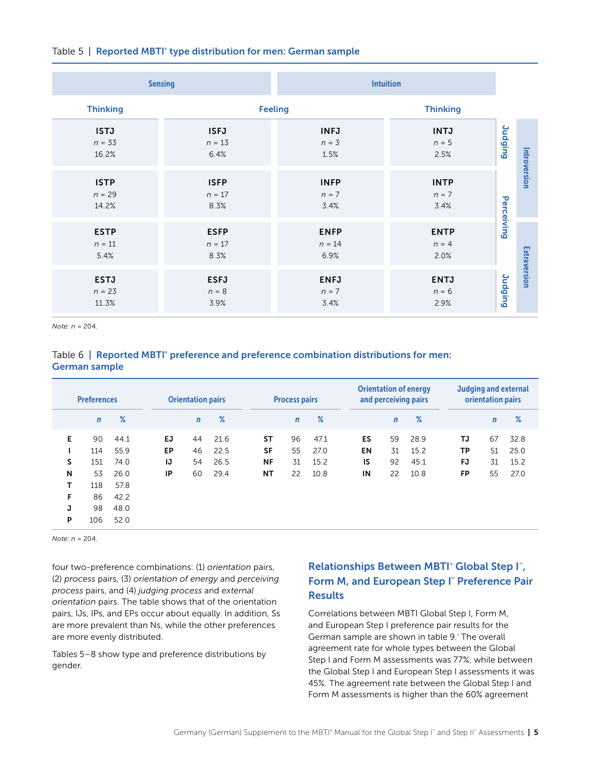<span id="page-5-0"></span>

|  |  |  |  | Table 5   Reported MBTI <sup>®</sup> type distribution for men: German sample |  |  |  |
|--|--|--|--|-------------------------------------------------------------------------------|--|--|--|
|--|--|--|--|-------------------------------------------------------------------------------|--|--|--|

|                                  | <b>Sensing</b>                  | <b>Intuition</b>                |                                |                |              |
|----------------------------------|---------------------------------|---------------------------------|--------------------------------|----------------|--------------|
| <b>Thinking</b>                  |                                 | <b>Feeling</b>                  | <b>Thinking</b>                |                |              |
| <b>ISTJ</b><br>$n = 33$<br>16.2% | <b>ISFJ</b><br>$n = 13$<br>6.4% | <b>INFJ</b><br>$n = 3$<br>1.5%  | <b>INTJ</b><br>$n = 5$<br>2.5% | <b>Judging</b> |              |
| <b>ISTP</b><br>$n = 29$<br>14.2% | <b>ISFP</b><br>$n = 17$<br>8.3% | <b>INFP</b><br>$n = 7$<br>3.4%  | <b>INTP</b><br>$n = 7$<br>3.4% | Perceiving     | Introversion |
| <b>ESTP</b><br>$n = 11$<br>5.4%  | <b>ESFP</b><br>$n = 17$<br>8.3% | <b>ENFP</b><br>$n = 14$<br>6.9% | <b>ENTP</b><br>$n = 4$<br>2.0% |                |              |
| <b>ESTJ</b><br>$n = 23$<br>11.3% | <b>ESFJ</b><br>$n = 8$<br>3.9%  | <b>ENFJ</b><br>$n = 7$<br>3.4%  | <b>ENTJ</b><br>$n = 6$<br>2.9% | Judging        | Extraversion |

*Note: n* = 204.

### Table 6 | Reported MBTI° preference and preference combination distributions for men: German sample

|    | <b>Preferences</b> |      |     | <b>Orientation pairs</b> |      |           | <b>Process pairs</b> |      |    |             | <b>Orientation of energy</b><br>and perceiving pairs |           | orientation pairs | <b>Judging and external</b> |
|----|--------------------|------|-----|--------------------------|------|-----------|----------------------|------|----|-------------|------------------------------------------------------|-----------|-------------------|-----------------------------|
|    | $\mathbf n$        | %    |     | $\mathsf{n}$             | $\%$ |           | $\mathbf n$          | %    |    | $\mathbf n$ | %                                                    |           | $\mathsf{n}$      | %                           |
| E. | 90                 | 44.1 | EJ. | 44                       | 21.6 | ST        | 96                   | 47.1 | ES | 59          | 28.9                                                 | TJ        | 67                | 32.8                        |
|    | 114                | 55.9 | EP. | 46                       | 22.5 | <b>SF</b> | 55                   | 27.0 | EN | 31          | 15.2                                                 | <b>TP</b> | 51                | 25.0                        |
| S  | 151                | 74.0 | IJ  | 54                       | 26.5 | <b>NF</b> | 31                   | 15.2 | IS | 92          | 45.1                                                 | FJ        | 31                | 15.2                        |
| N  | 53                 | 26.0 | ΙP  | 60                       | 29.4 | NΤ        | 22                   | 10.8 | IN | 22          | 10.8                                                 | <b>FP</b> | 55                | 27.0                        |
| т  | 118                | 57.8 |     |                          |      |           |                      |      |    |             |                                                      |           |                   |                             |
| F  | 86                 | 42.2 |     |                          |      |           |                      |      |    |             |                                                      |           |                   |                             |
| J  | 98                 | 48.0 |     |                          |      |           |                      |      |    |             |                                                      |           |                   |                             |
| P  | 106                | 52.0 |     |                          |      |           |                      |      |    |             |                                                      |           |                   |                             |

*Note: n* = 204.

four two-preference combinations: (1) *orientation* pairs, (2) *process* pairs, (3) *orientation of energy* and *perceiving process* pairs, and (4) *judging process* and *external orientation* pairs. The table shows that of the orientation pairs, IJs, IPs, and EPs occur about equally. In addition, Ss are more prevalent than Ns, while the other preferences are more evenly distributed.

Tables 5–8 show type and preference distributions by gender.

# Relationships Between MBTI<sup>®</sup> Global Step I<sup>™</sup>, Form M, and European Step I" Preference Pair **Results**

Correlations between MBTI Global Step I, Form M, and European Step I preference pair results for the German sample are shown in table 9.<sup>3</sup> The overall agreement rate for whole types between the Global Step I and Form M assessments was 77%, while between the Global Step I and European Step I assessments it was 45%. The agreement rate between the Global Step I and Form M assessments is higher than the 60% agreement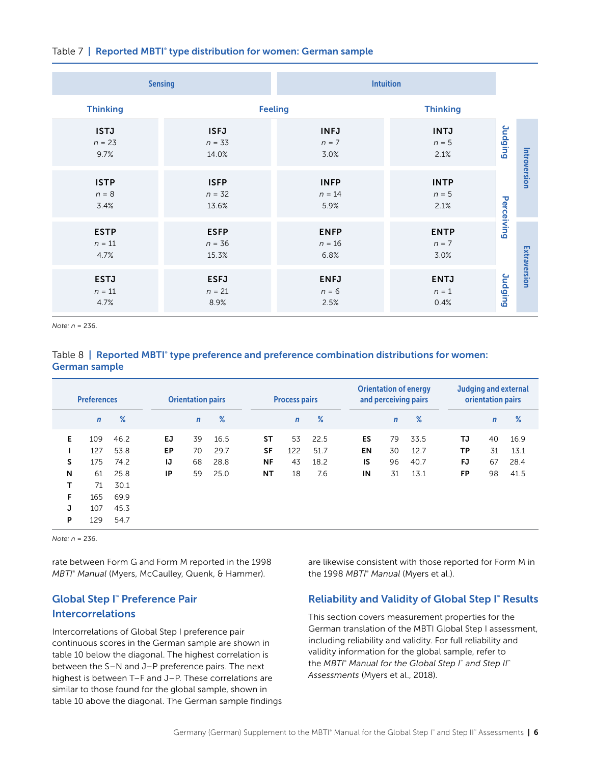<span id="page-6-0"></span>

|  | Table 7   Reported MBTI <sup>®</sup> type distribution for women: German sample |  |
|--|---------------------------------------------------------------------------------|--|
|  |                                                                                 |  |

|                                 | <b>Sensing</b>                   |                                 | <b>Intuition</b>               |            |              |
|---------------------------------|----------------------------------|---------------------------------|--------------------------------|------------|--------------|
| <b>Thinking</b>                 |                                  | <b>Feeling</b>                  | <b>Thinking</b>                |            |              |
| <b>ISTJ</b><br>$n = 23$<br>9.7% | <b>ISFJ</b><br>$n = 33$<br>14.0% | <b>INFJ</b><br>$n = 7$<br>3.0%  | <b>INTJ</b><br>$n = 5$<br>2.1% | Durging    |              |
| <b>ISTP</b><br>$n = 8$<br>3.4%  | <b>ISFP</b><br>$n = 32$<br>13.6% | <b>INFP</b><br>$n = 14$<br>5.9% | <b>INTP</b><br>$n = 5$<br>2.1% | Perceiving | Introversion |
| <b>ESTP</b><br>$n = 11$<br>4.7% | <b>ESFP</b><br>$n = 36$<br>15.3% | <b>ENFP</b><br>$n = 16$<br>6.8% | <b>ENTP</b><br>$n = 7$<br>3.0% |            |              |
| <b>ESTJ</b><br>$n = 11$<br>4.7% | <b>ESFJ</b><br>$n = 21$<br>8.9%  | <b>ENFJ</b><br>$n = 6$<br>2.5%  | <b>ENTJ</b><br>$n = 1$<br>0.4% | Judging    | Extraversion |

*Note: n* = 236.

### Table  $8 \mid$  Reported MBTI° type preference and preference combination distributions for women: German sample

|    | <b>Preferences</b> |      |     | <b>Orientation pairs</b> |      |           | <b>Process pairs</b> |      |    |              | <b>Orientation of energy</b><br>and perceiving pairs |           | orientation pairs | <b>Judging and external</b> |
|----|--------------------|------|-----|--------------------------|------|-----------|----------------------|------|----|--------------|------------------------------------------------------|-----------|-------------------|-----------------------------|
|    | $\mathbf n$        | %    |     | $\mathbf n$              | $\%$ |           | $\mathbf n$          | %    |    | $\mathsf{n}$ | %                                                    |           | $\mathsf{n}$      | %                           |
| E. | 109                | 46.2 | EJ. | 39                       | 16.5 | ST        | 53                   | 22.5 | ES | 79           | 33.5                                                 | TJ        | 40                | 16.9                        |
|    | 127                | 53.8 | EP  | 70                       | 29.7 | <b>SF</b> | 122                  | 51.7 | EN | 30           | 12.7                                                 | <b>TP</b> | 31                | 13.1                        |
| S  | 175                | 74.2 | IJ  | 68                       | 28.8 | <b>NF</b> | 43                   | 18.2 | IS | 96           | 40.7                                                 | <b>FJ</b> | 67                | 28.4                        |
| N  | 61                 | 25.8 | IP  | 59                       | 25.0 | NΤ        | 18                   | 7.6  | IN | 31           | 13.1                                                 | <b>FP</b> | 98                | 41.5                        |
| т  | 71                 | 30.1 |     |                          |      |           |                      |      |    |              |                                                      |           |                   |                             |
| F  | 165                | 69.9 |     |                          |      |           |                      |      |    |              |                                                      |           |                   |                             |
| J  | 107                | 45.3 |     |                          |      |           |                      |      |    |              |                                                      |           |                   |                             |
| P  | 129                | 54.7 |     |                          |      |           |                      |      |    |              |                                                      |           |                   |                             |

*Note: n* = 236.

rate between Form G and Form M reported in the 1998 *MBTI*®  *Manual* (Myers, McCaulley, Quenk, & Hammer).

# Global Step I™ Preference Pair Intercorrelations

Intercorrelations of Global Step I preference pair continuous scores in the German sample are shown in table 10 below the diagonal. The highest correlation is between the S–N and J–P preference pairs. The next highest is between T–F and J–P. These correlations are similar to those found for the global sample, shown in table 10 above the diagonal. The German sample findings are likewise consistent with those reported for Form M in the 1998 *MBTI*®  *Manual* (Myers et al.).

# Reliability and Validity of Global Step I™ Results

This section covers measurement properties for the German translation of the MBTI Global Step I assessment, including reliability and validity. For full reliability and validity information for the global sample, refer to the *MBTI*®  *Manual for the Global Step I*™  *and Step II*™ *Assessments* (Myers et al., 2018).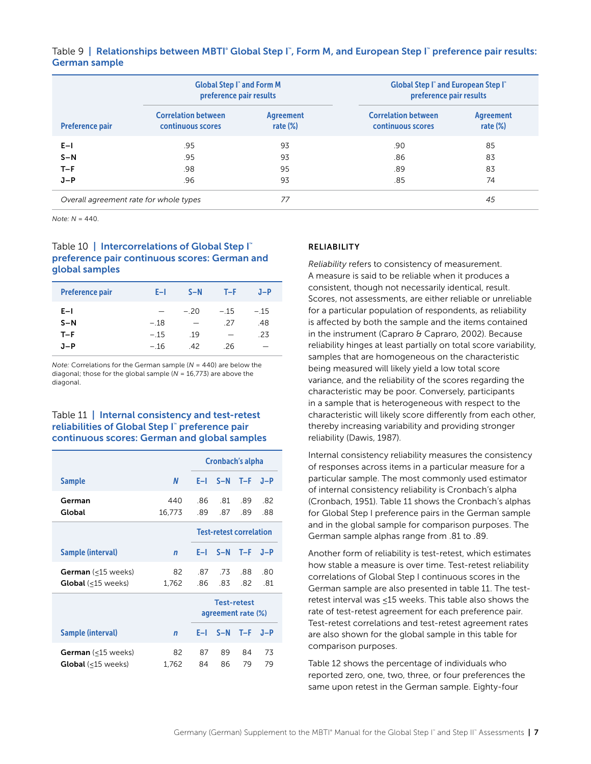|                                        | <b>Global Step I" and Form M</b><br>preference pair results |                          | <b>Global Step I" and European Step I"</b><br>preference pair results |                          |  |  |
|----------------------------------------|-------------------------------------------------------------|--------------------------|-----------------------------------------------------------------------|--------------------------|--|--|
| <b>Preference pair</b>                 | <b>Correlation between</b><br>continuous scores             | Agreement<br>rate $(\%)$ | <b>Correlation between</b><br>continuous scores                       | Agreement<br>rate $(\%)$ |  |  |
| $E-1$                                  | .95                                                         | 93                       | .90                                                                   | 85                       |  |  |
| $S-N$                                  | .95                                                         | 93                       | .86                                                                   | 83                       |  |  |
| $T-F$                                  | .98                                                         | 95                       | .89                                                                   | 83                       |  |  |
| $J-P$                                  | .96                                                         | 93                       | .85                                                                   | 74                       |  |  |
| Overall agreement rate for whole types |                                                             | 77                       |                                                                       | 45                       |  |  |

Table 9 | Relationships between MBTI° Global Step I™, Form M, and European Step I™ preference pair results: German sample

*Note: N* = 440.

### Table 10 | Intercorrelations of Global Step I preference pair continuous scores: German and global samples

| <b>Preference pair</b> | E-L              | $S-N$     | $T-F$         | $J-P$         |
|------------------------|------------------|-----------|---------------|---------------|
| $E-1$<br>$S-N$         | $-.18$           | $-.20$    | $-.15$<br>-27 | $-.15$<br>.48 |
| $T-F$<br>J-P           | $-.15$<br>$-.16$ | .19<br>42 | -26           | .23<br>-      |

*Note:* Correlations for the German sample (*N* = 440) are below the diagonal; those for the global sample (*N* = 16,773) are above the diagonal.

#### Table 11 | Internal consistency and test-retest reliabilities of Global Step I™ preference pair continuous scores: German and global samples

|                                                        |               | Cronbach's alpha                         |            |            |            |  |  |
|--------------------------------------------------------|---------------|------------------------------------------|------------|------------|------------|--|--|
| <b>Sample</b>                                          | N             | F-L                                      |            | $S-N$ T-F  | $J-P$      |  |  |
| German<br>Global                                       | 440<br>16,773 | -86<br>.89                               | -81<br>.87 | .89<br>.89 | .82<br>.88 |  |  |
|                                                        |               | <b>Test-retest correlation</b>           |            |            |            |  |  |
| Sample (interval)                                      | $\mathbf n$   | E-L                                      | $S-N$      | $T-F$      | $J-P$      |  |  |
| <b>German</b> (<15 weeks)<br><b>Global</b> (<15 weeks) | 82<br>1,762   | 87<br>-86                                | .73<br>83  | 88<br>82   | -80<br>-81 |  |  |
|                                                        |               | <b>Test-retest</b><br>agreement rate (%) |            |            |            |  |  |
| <b>Sample (interval)</b>                               | $\mathsf{n}$  | F–I.                                     |            | $S-N$ T-F  | $J-P$      |  |  |
| German (<15 weeks)<br><b>Global</b> (<15 weeks)        | 82<br>1,762   | 87<br>84                                 | 89<br>86   | 84<br>79   | 73<br>79   |  |  |

#### RELIABILITY

*Reliability* refers to consistency of measurement. A measure is said to be reliable when it produces a consistent, though not necessarily identical, result. Scores, not assessments, are either reliable or unreliable for a particular population of respondents, as reliability is affected by both the sample and the items contained in the instrument (Capraro & Capraro, 2002). Because reliability hinges at least partially on total score variability, samples that are homogeneous on the characteristic being measured will likely yield a low total score variance, and the reliability of the scores regarding the characteristic may be poor. Conversely, participants in a sample that is heterogeneous with respect to the characteristic will likely score differently from each other, thereby increasing variability and providing stronger reliability (Dawis, 1987).

Internal consistency reliability measures the consistency of responses across items in a particular measure for a particular sample. The most commonly used estimator of internal consistency reliability is Cronbach's alpha (Cronbach, 1951). Table 11 shows the Cronbach's alphas for Global Step I preference pairs in the German sample and in the global sample for comparison purposes. The German sample alphas range from .81 to .89.

Another form of reliability is test-retest, which estimates how stable a measure is over time. Test-retest reliability correlations of Global Step I continuous scores in the German sample are also presented in table 11. The testretest interval was ≤15 weeks. This table also shows the rate of test-retest agreement for each preference pair. Test-retest correlations and test-retest agreement rates are also shown for the global sample in this table for comparison purposes.

Table 12 shows the percentage of individuals who reported zero, one, two, three, or four preferences the same upon retest in the German sample. Eighty-four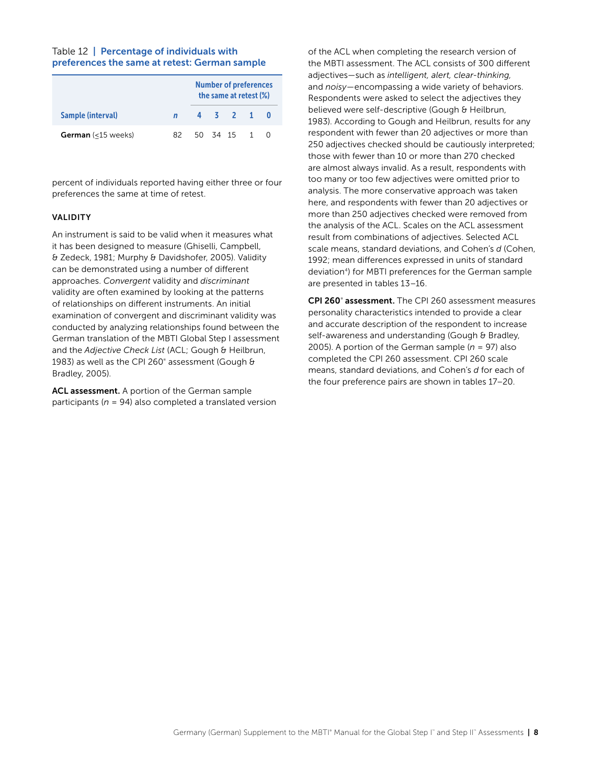#### Table 12 | Percentage of individuals with preferences the same at retest: German sample

|                           |     | <b>Number of preferences</b><br>the same at retest (%) |  |  |            |  |  |
|---------------------------|-----|--------------------------------------------------------|--|--|------------|--|--|
| Sample (interval)         |     |                                                        |  |  | 4 3 2 1    |  |  |
| <b>German</b> (<15 weeks) | 82. |                                                        |  |  | 50 34 15 1 |  |  |

percent of individuals reported having either three or four preferences the same at time of retest.

#### VALIDITY

An instrument is said to be valid when it measures what it has been designed to measure (Ghiselli, Campbell, & Zedeck, 1981; Murphy & Davidshofer, 2005). Validity can be demonstrated using a number of different approaches. *Convergent* validity and *discriminant*  validity are often examined by looking at the patterns of relationships on different instruments. An initial examination of convergent and discriminant validity was conducted by analyzing relationships found between the German translation of the MBTI Global Step I assessment and the *Adjective Check List* (ACL; Gough & Heilbrun, 1983) as well as the CPI 260® assessment (Gough & Bradley, 2005).

ACL assessment. A portion of the German sample participants (*n* = 94) also completed a translated version of the ACL when completing the research version of the MBTI assessment. The ACL consists of 300 different adjectives—such as *intelligent, alert, clear-thinking,*  and *noisy*—encompassing a wide variety of behaviors. Respondents were asked to select the adjectives they believed were self-descriptive (Gough & Heilbrun, 1983). According to Gough and Heilbrun, results for any respondent with fewer than 20 adjectives or more than 250 adjectives checked should be cautiously interpreted; those with fewer than 10 or more than 270 checked are almost always invalid. As a result, respondents with too many or too few adjectives were omitted prior to analysis. The more conservative approach was taken here, and respondents with fewer than 20 adjectives or more than 250 adjectives checked were removed from the analysis of the ACL. Scales on the ACL assessment result from combinations of adjectives. Selected ACL scale means, standard deviations, and Cohen's *d* (Cohen, 1992; mean differences expressed in units of standard deviation<sup>4</sup>) for MBTI preferences for the German sample are presented in tables 13–16.

CPI 260° assessment. The CPI 260 assessment measures personality characteristics intended to provide a clear and accurate description of the respondent to increase self-awareness and understanding (Gough & Bradley, 2005). A portion of the German sample ( $n = 97$ ) also completed the CPI 260 assessment. CPI 260 scale means, standard deviations, and Cohen's *d* for each of the four preference pairs are shown in tables 17–20.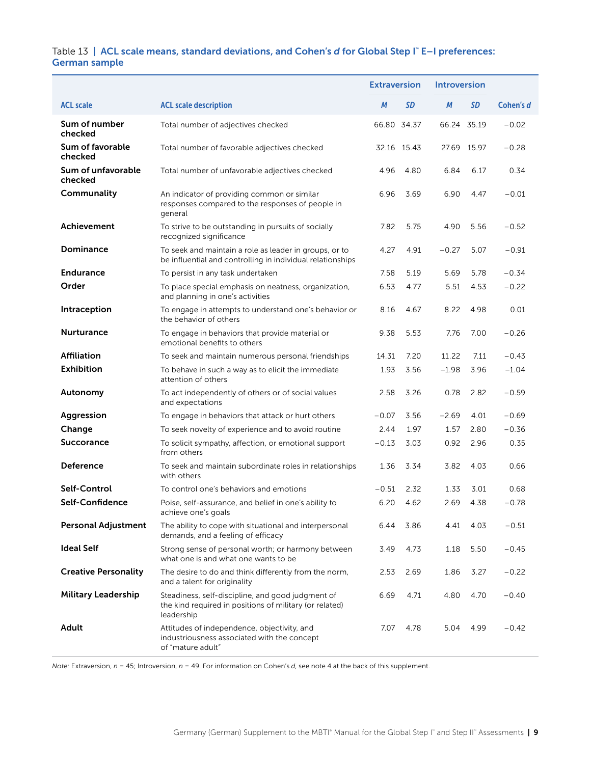#### Table 13 | ACL scale means, standard deviations, and Cohen's *d* for Global Step I™ E–I preferences: German sample

|                               |                                                                                                                            | <b>Extraversion</b> |             | <b>Introversion</b> |             |           |
|-------------------------------|----------------------------------------------------------------------------------------------------------------------------|---------------------|-------------|---------------------|-------------|-----------|
| <b>ACL scale</b>              | <b>ACL scale description</b>                                                                                               | M                   | SD          | M                   | SD          | Cohen's d |
| Sum of number<br>checked      | Total number of adjectives checked                                                                                         |                     | 66.80 34.37 | 66.24 35.19         |             | $-0.02$   |
| Sum of favorable<br>checked   | Total number of favorable adjectives checked                                                                               |                     | 32.16 15.43 |                     | 27.69 15.97 | $-0.28$   |
| Sum of unfavorable<br>checked | Total number of unfavorable adjectives checked                                                                             | 4.96                | 4.80        | 6.84                | 6.17        | 0.34      |
| Communality                   | An indicator of providing common or similar<br>responses compared to the responses of people in<br>general                 | 6.96                | 3.69        | 6.90                | 4.47        | $-0.01$   |
| Achievement                   | To strive to be outstanding in pursuits of socially<br>recognized significance                                             | 7.82                | 5.75        | 4.90                | 5.56        | $-0.52$   |
| Dominance                     | To seek and maintain a role as leader in groups, or to<br>be influential and controlling in individual relationships       | 4.27                | 4.91        | $-0.27$             | 5.07        | $-0.91$   |
| <b>Endurance</b>              | To persist in any task undertaken                                                                                          | 7.58                | 5.19        | 5.69                | 5.78        | $-0.34$   |
| Order                         | To place special emphasis on neatness, organization,<br>and planning in one's activities                                   | 6.53                | 4.77        | 5.51                | 4.53        | $-0.22$   |
| Intraception                  | To engage in attempts to understand one's behavior or<br>the behavior of others                                            | 8.16                | 4.67        | 8.22                | 4.98        | 0.01      |
| <b>Nurturance</b>             | To engage in behaviors that provide material or<br>emotional benefits to others                                            | 9.38                | 5.53        | 7.76                | 7.00        | $-0.26$   |
| <b>Affiliation</b>            | To seek and maintain numerous personal friendships                                                                         | 14.31               | 7.20        | 11.22               | 7.11        | $-0.43$   |
| <b>Exhibition</b>             | To behave in such a way as to elicit the immediate<br>attention of others                                                  | 1.93                | 3.56        | $-1.98$             | 3.96        | $-1.04$   |
| Autonomy                      | To act independently of others or of social values<br>and expectations                                                     | 2.58                | 3.26        | 0.78                | 2.82        | $-0.59$   |
| Aggression                    | To engage in behaviors that attack or hurt others                                                                          | $-0.07$             | 3.56        | $-2.69$             | 4.01        | $-0.69$   |
| Change                        | To seek novelty of experience and to avoid routine                                                                         | 2.44                | 1.97        | 1.57                | 2.80        | $-0.36$   |
| <b>Succorance</b>             | To solicit sympathy, affection, or emotional support<br>from others                                                        | $-0.13$             | 3.03        | 0.92                | 2.96        | 0.35      |
| <b>Deference</b>              | To seek and maintain subordinate roles in relationships<br>with others                                                     | 1.36                | 3.34        | 3.82                | 4.03        | 0.66      |
| Self-Control                  | To control one's behaviors and emotions                                                                                    | $-0.51$             | 2.32        | 1.33                | 3.01        | 0.68      |
| Self-Confidence               | Poise, self-assurance, and belief in one's ability to<br>achieve one's goals                                               | 6.20                | 4.62        | 2.69                | 4.38        | $-0.78$   |
| <b>Personal Adjustment</b>    | The ability to cope with situational and interpersonal<br>demands, and a feeling of efficacy                               | 6.44                | 3.86        | 4.41                | 4.03        | $-0.51$   |
| <b>Ideal Self</b>             | Strong sense of personal worth; or harmony between<br>what one is and what one wants to be                                 | 3.49                | 4.73        | 1.18                | 5.50        | $-0.45$   |
| <b>Creative Personality</b>   | The desire to do and think differently from the norm,<br>and a talent for originality                                      | 2.53                | 2.69        | 1.86                | 3.27        | $-0.22$   |
| <b>Military Leadership</b>    | Steadiness, self-discipline, and good judgment of<br>the kind required in positions of military (or related)<br>leadership | 6.69                | 4.71        | 4.80                | 4.70        | $-0.40$   |
| Adult                         | Attitudes of independence, objectivity, and<br>industriousness associated with the concept<br>of "mature adult"            | 7.07                | 4.78        | 5.04                | 4.99        | $-0.42$   |

*Note:* Extraversion, *n* = 45; Introversion, *n* = 49. For information on Cohen's *d*, see note 4 at the back of this supplement.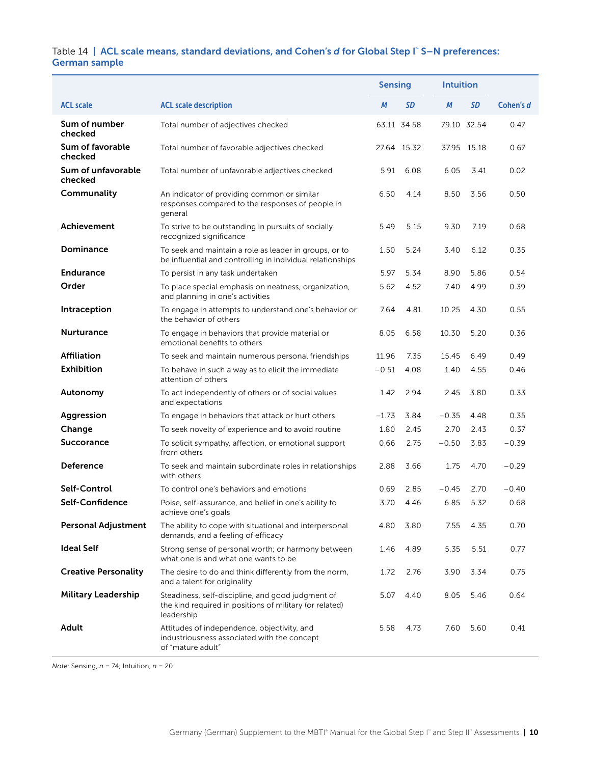#### Table 14 | ACL scale means, standard deviations, and Cohen's *d* for Global Step I™S-N preferences: German sample

|                               |                                                                                                                            | <b>Sensing</b> |             | <b>Intuition</b> |             |           |
|-------------------------------|----------------------------------------------------------------------------------------------------------------------------|----------------|-------------|------------------|-------------|-----------|
| <b>ACL scale</b>              | <b>ACL scale description</b>                                                                                               | M              | SD          | М                | <b>SD</b>   | Cohen's d |
| Sum of number<br>checked      | Total number of adjectives checked                                                                                         |                | 63.11 34.58 |                  | 79.10 32.54 | 0.47      |
| Sum of favorable<br>checked   | Total number of favorable adjectives checked                                                                               |                | 27.64 15.32 |                  | 37.95 15.18 | 0.67      |
| Sum of unfavorable<br>checked | Total number of unfavorable adjectives checked                                                                             | 5.91           | 6.08        | 6.05             | 3.41        | 0.02      |
| Communality                   | An indicator of providing common or similar<br>responses compared to the responses of people in<br>general                 | 6.50           | 4.14        | 8.50             | 3.56        | 0.50      |
| Achievement                   | To strive to be outstanding in pursuits of socially<br>recognized significance                                             | 5.49           | 5.15        | 9.30             | 7.19        | 0.68      |
| Dominance                     | To seek and maintain a role as leader in groups, or to<br>be influential and controlling in individual relationships       | 1.50           | 5.24        | 3.40             | 6.12        | 0.35      |
| <b>Endurance</b>              | To persist in any task undertaken                                                                                          | 5.97           | 5.34        | 8.90             | 5.86        | 0.54      |
| Order                         | To place special emphasis on neatness, organization,<br>and planning in one's activities                                   | 5.62           | 4.52        | 7.40             | 4.99        | 0.39      |
| Intraception                  | To engage in attempts to understand one's behavior or<br>the behavior of others                                            | 7.64           | 4.81        | 10.25            | 4.30        | 0.55      |
| Nurturance                    | To engage in behaviors that provide material or<br>emotional benefits to others                                            | 8.05           | 6.58        | 10.30            | 5.20        | 0.36      |
| <b>Affiliation</b>            | To seek and maintain numerous personal friendships                                                                         | 11.96          | 7.35        | 15.45            | 6.49        | 0.49      |
| <b>Exhibition</b>             | To behave in such a way as to elicit the immediate<br>attention of others                                                  | $-0.51$        | 4.08        | 1.40             | 4.55        | 0.46      |
| Autonomy                      | To act independently of others or of social values<br>and expectations                                                     | 1.42           | 2.94        | 2.45             | 3.80        | 0.33      |
| Aggression                    | To engage in behaviors that attack or hurt others                                                                          | $-1.73$        | 3.84        | $-0.35$          | 4.48        | 0.35      |
| Change                        | To seek novelty of experience and to avoid routine                                                                         | 1.80           | 2.45        | 2.70             | 2.43        | 0.37      |
| <b>Succorance</b>             | To solicit sympathy, affection, or emotional support<br>from others                                                        | 0.66           | 2.75        | $-0.50$          | 3.83        | $-0.39$   |
| Deference                     | To seek and maintain subordinate roles in relationships<br>with others                                                     | 2.88           | 3.66        | 1.75             | 4.70        | $-0.29$   |
| Self-Control                  | To control one's behaviors and emotions                                                                                    | 0.69           | 2.85        | $-0.45$          | 2.70        | $-0.40$   |
| Self-Confidence               | Poise, self-assurance, and belief in one's ability to<br>achieve one's goals                                               | 3.70           | 4.46        | 6.85             | 5.32        | 0.68      |
| <b>Personal Adjustment</b>    | The ability to cope with situational and interpersonal<br>demands, and a feeling of efficacy                               | 4.80           | 3.80        | 7.55             | 4.35        | 0.70      |
| <b>Ideal Self</b>             | Strong sense of personal worth; or harmony between<br>what one is and what one wants to be                                 | 1.46           | 4.89        | 5.35             | 5.51        | 0.77      |
| <b>Creative Personality</b>   | The desire to do and think differently from the norm,<br>and a talent for originality                                      | 1.72           | 2.76        | 3.90             | 3.34        | 0.75      |
| <b>Military Leadership</b>    | Steadiness, self-discipline, and good judgment of<br>the kind required in positions of military (or related)<br>leadership | 5.07           | 4.40        | 8.05             | 5.46        | 0.64      |
| <b>Adult</b>                  | Attitudes of independence, objectivity, and<br>industriousness associated with the concept<br>of "mature adult"            | 5.58           | 4.73        | 7.60             | 5.60        | 0.41      |

*Note:* Sensing, *n* = 74; Intuition, *n* = 20.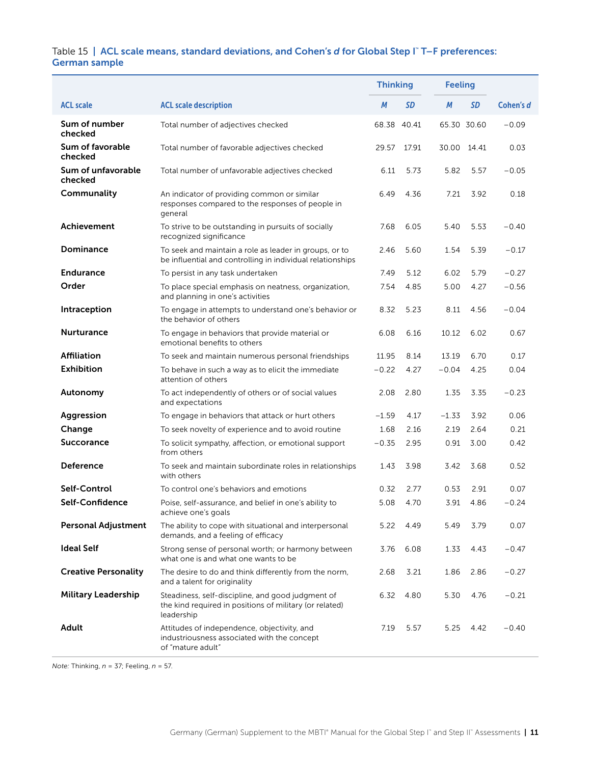#### Table 15 | ACL scale means, standard deviations, and Cohen's *d* for Global Step I™ T–F preferences: German sample

|                               |                                                                                                                            | <b>Thinking</b> |           | <b>Feeling</b> |           |           |
|-------------------------------|----------------------------------------------------------------------------------------------------------------------------|-----------------|-----------|----------------|-----------|-----------|
| <b>ACL scale</b>              | <b>ACL scale description</b>                                                                                               | М               | <b>SD</b> | М              | <b>SD</b> | Cohen's d |
| Sum of number<br>checked      | Total number of adjectives checked                                                                                         | 68.38           | 40.41     | 65.30 30.60    |           | $-0.09$   |
| Sum of favorable<br>checked   | Total number of favorable adjectives checked                                                                               | 29.57           | 17.91     | 30.00 14.41    |           | 0.03      |
| Sum of unfavorable<br>checked | Total number of unfavorable adjectives checked                                                                             | 6.11            | 5.73      | 5.82           | 5.57      | $-0.05$   |
| Communality                   | An indicator of providing common or similar<br>responses compared to the responses of people in<br>general                 | 6.49            | 4.36      | 7.21           | 3.92      | 0.18      |
| <b>Achievement</b>            | To strive to be outstanding in pursuits of socially<br>recognized significance                                             | 7.68            | 6.05      | 5.40           | 5.53      | $-0.40$   |
| Dominance                     | To seek and maintain a role as leader in groups, or to<br>be influential and controlling in individual relationships       | 2.46            | 5.60      | 1.54           | 5.39      | $-0.17$   |
| <b>Endurance</b>              | To persist in any task undertaken                                                                                          | 7.49            | 5.12      | 6.02           | 5.79      | $-0.27$   |
| Order                         | To place special emphasis on neatness, organization,<br>and planning in one's activities                                   | 7.54            | 4.85      | 5.00           | 4.27      | $-0.56$   |
| Intraception                  | To engage in attempts to understand one's behavior or<br>the behavior of others                                            | 8.32            | 5.23      | 8.11           | 4.56      | $-0.04$   |
| <b>Nurturance</b>             | To engage in behaviors that provide material or<br>emotional benefits to others                                            | 6.08            | 6.16      | 10.12          | 6.02      | 0.67      |
| <b>Affiliation</b>            | To seek and maintain numerous personal friendships                                                                         | 11.95           | 8.14      | 13.19          | 6.70      | 0.17      |
| <b>Exhibition</b>             | To behave in such a way as to elicit the immediate<br>attention of others                                                  | $-0.22$         | 4.27      | $-0.04$        | 4.25      | 0.04      |
| Autonomy                      | To act independently of others or of social values<br>and expectations                                                     | 2.08            | 2.80      | 1.35           | 3.35      | $-0.23$   |
| Aggression                    | To engage in behaviors that attack or hurt others                                                                          | $-1.59$         | 4.17      | $-1.33$        | 3.92      | 0.06      |
| Change                        | To seek novelty of experience and to avoid routine                                                                         | 1.68            | 2.16      | 2.19           | 2.64      | 0.21      |
| <b>Succorance</b>             | To solicit sympathy, affection, or emotional support<br>from others                                                        | $-0.35$         | 2.95      | 0.91           | 3.00      | 0.42      |
| <b>Deference</b>              | To seek and maintain subordinate roles in relationships<br>with others                                                     | 1.43            | 3.98      | 3.42           | 3.68      | 0.52      |
| Self-Control                  | To control one's behaviors and emotions                                                                                    | 0.32            | 2.77      | 0.53           | 2.91      | 0.07      |
| Self-Confidence               | Poise, self-assurance, and belief in one's ability to<br>achieve one's goals                                               | 5.08            | 4.70      | 3.91           | 4.86      | $-0.24$   |
| <b>Personal Adjustment</b>    | The ability to cope with situational and interpersonal<br>demands, and a feeling of efficacy                               | 5.22            | 4.49      | 5.49           | 3.79      | 0.07      |
| <b>Ideal Self</b>             | Strong sense of personal worth; or harmony between<br>what one is and what one wants to be                                 | 3.76            | 6.08      | 1.33           | 4.43      | $-0.47$   |
| <b>Creative Personality</b>   | The desire to do and think differently from the norm,<br>and a talent for originality                                      | 2.68            | 3.21      | 1.86           | 2.86      | $-0.27$   |
| <b>Military Leadership</b>    | Steadiness, self-discipline, and good judgment of<br>the kind required in positions of military (or related)<br>leadership | 6.32            | 4.80      | 5.30           | 4.76      | $-0.21$   |
| Adult                         | Attitudes of independence, objectivity, and<br>industriousness associated with the concept<br>of "mature adult"            | 7.19            | 5.57      | 5.25           | 4.42      | $-0.40$   |

*Note:* Thinking, *n* = 37; Feeling, *n* = 57.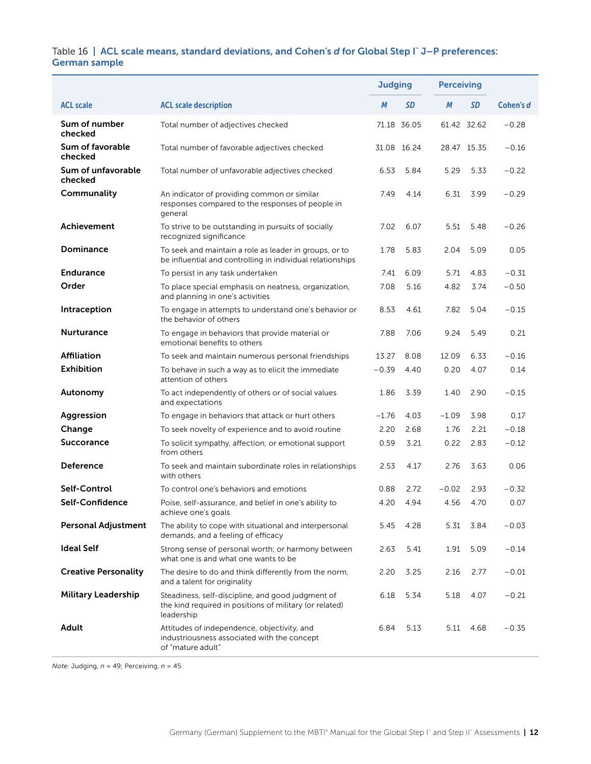#### Table 16 | ACL scale means, standard deviations, and Cohen's *d* for Global Step I™ J–P preferences: German sample

|                               |                                                                                                                            | <b>Judging</b> |             | <b>Perceiving</b> |             |           |
|-------------------------------|----------------------------------------------------------------------------------------------------------------------------|----------------|-------------|-------------------|-------------|-----------|
| <b>ACL scale</b>              | <b>ACL scale description</b>                                                                                               | М              | SD          | М                 | <b>SD</b>   | Cohen's d |
| Sum of number<br>checked      | Total number of adjectives checked                                                                                         |                | 71.18 36.05 |                   | 61.42 32.62 | $-0.28$   |
| Sum of favorable<br>checked   | Total number of favorable adjectives checked                                                                               |                | 31.08 16.24 |                   | 28.47 15.35 | $-0.16$   |
| Sum of unfavorable<br>checked | Total number of unfavorable adjectives checked                                                                             | 6.53           | 5.84        | 5.29              | 5.33        | $-0.22$   |
| Communality                   | An indicator of providing common or similar<br>responses compared to the responses of people in<br>general                 | 7.49           | 4.14        | 6.31              | 3.99        | $-0.29$   |
| Achievement                   | To strive to be outstanding in pursuits of socially<br>recognized significance                                             | 7.02           | 6.07        | 5.51              | 5.48        | $-0.26$   |
| Dominance                     | To seek and maintain a role as leader in groups, or to<br>be influential and controlling in individual relationships       | 1.78           | 5.83        | 2.04              | 5.09        | 0.05      |
| <b>Endurance</b>              | To persist in any task undertaken                                                                                          | 7.41           | 6.09        | 5.71              | 4.83        | $-0.31$   |
| Order                         | To place special emphasis on neatness, organization,<br>and planning in one's activities                                   | 7.08           | 5.16        | 4.82              | 3.74        | $-0.50$   |
| Intraception                  | To engage in attempts to understand one's behavior or<br>the behavior of others                                            | 8.53           | 4.61        | 7.82              | 5.04        | $-0.15$   |
| <b>Nurturance</b>             | To engage in behaviors that provide material or<br>emotional benefits to others                                            | 7.88           | 7.06        | 9.24              | 5.49        | 0.21      |
| <b>Affiliation</b>            | To seek and maintain numerous personal friendships                                                                         | 13.27          | 8.08        | 12.09             | 6.33        | $-0.16$   |
| <b>Exhibition</b>             | To behave in such a way as to elicit the immediate<br>attention of others                                                  | $-0.39$        | 4.40        | 0.20              | 4.07        | 0.14      |
| Autonomy                      | To act independently of others or of social values<br>and expectations                                                     | 1.86           | 3.39        | 1.40              | 2.90        | $-0.15$   |
| Aggression                    | To engage in behaviors that attack or hurt others                                                                          | $-1.76$        | 4.03        | $-1.09$           | 3.98        | 0.17      |
| Change                        | To seek novelty of experience and to avoid routine                                                                         | 2.20           | 2.68        | 1.76              | 2.21        | $-0.18$   |
| <b>Succorance</b>             | To solicit sympathy, affection, or emotional support<br>from others                                                        | 0.59           | 3.21        | 0.22              | 2.83        | $-0.12$   |
| Deference                     | To seek and maintain subordinate roles in relationships<br>with others                                                     | 2.53           | 4.17        | 2.76              | 3.63        | 0.06      |
| Self-Control                  | To control one's behaviors and emotions                                                                                    | 0.88           | 2.72        | $-0.02$           | 2.93        | $-0.32$   |
| Self-Confidence               | Poise, self-assurance, and belief in one's ability to<br>achieve one's goals                                               | 4.20           | 4.94        | 4.56              | 4.70        | 0.07      |
| <b>Personal Adjustment</b>    | The ability to cope with situational and interpersonal<br>demands, and a feeling of efficacy                               | 5.45           | 4.28        | 5.31              | 3.84        | $-0.03$   |
| <b>Ideal Self</b>             | Strong sense of personal worth; or harmony between<br>what one is and what one wants to be                                 | 2.63           | 5.41        | 1.91              | 5.09        | $-0.14$   |
| <b>Creative Personality</b>   | The desire to do and think differently from the norm,<br>and a talent for originality                                      | 2.20           | 3.25        | 2.16              | 2.77        | $-0.01$   |
| <b>Military Leadership</b>    | Steadiness, self-discipline, and good judgment of<br>the kind required in positions of military (or related)<br>leadership | 6.18           | 5.34        | 5.18              | 4.07        | $-0.21$   |
| Adult                         | Attitudes of independence, objectivity, and<br>industriousness associated with the concept<br>of "mature adult"            | 6.84           | 5.13        | 5.11              | 4.68        | $-0.35$   |

*Note:* Judging, *n* = 49; Perceiving, *n* = 45.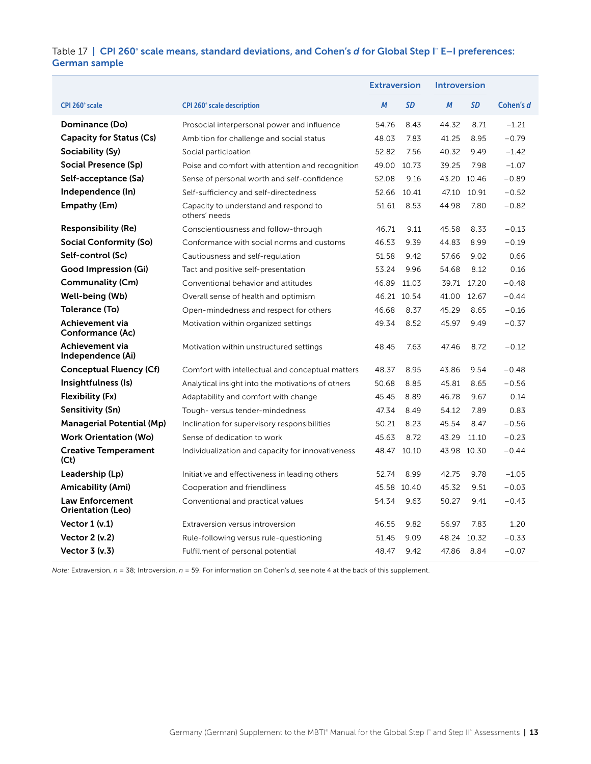#### Table 17 | CPI 260° scale means, standard deviations, and Cohen's *d* for Global Step I™ E–I preferences: German sample

|                                                    |                                                        | <b>Extraversion</b> |             | <b>Introversion</b> |             |           |
|----------------------------------------------------|--------------------------------------------------------|---------------------|-------------|---------------------|-------------|-----------|
| CPI 260° scale                                     | <b>CPI 260° scale description</b>                      | M                   | SD          | M                   | <b>SD</b>   | Cohen's d |
| Dominance (Do)                                     | Prosocial interpersonal power and influence            | 54.76               | 8.43        | 44.32               | 8.71        | $-1.21$   |
| Capacity for Status (Cs)                           | Ambition for challenge and social status               | 48.03               | 7.83        | 41.25               | 8.95        | $-0.79$   |
| Sociability (Sy)                                   | Social participation                                   | 52.82               | 7.56        | 40.32               | 9.49        | $-1.42$   |
| Social Presence (Sp)                               | Poise and comfort with attention and recognition       | 49.00 10.73         |             | 39.25               | 7.98        | $-1.07$   |
| Self-acceptance (Sa)                               | Sense of personal worth and self-confidence            | 52.08               | 9.16        |                     | 43.20 10.46 | $-0.89$   |
| Independence (In)                                  | Self-sufficiency and self-directedness                 | 52.66               | 10.41       |                     | 47.10 10.91 | $-0.52$   |
| Empathy (Em)                                       | Capacity to understand and respond to<br>others' needs | 51.61               | 8.53        | 44.98               | 7.80        | $-0.82$   |
| <b>Responsibility (Re)</b>                         | Conscientiousness and follow-through                   | 46.71               | 9.11        | 45.58               | 8.33        | $-0.13$   |
| Social Conformity (So)                             | Conformance with social norms and customs              | 46.53               | 9.39        | 44.83               | 8.99        | $-0.19$   |
| Self-control (Sc)                                  | Cautiousness and self-regulation                       | 51.58               | 9.42        | 57.66               | 9.02        | 0.66      |
| <b>Good Impression (Gi)</b>                        | Tact and positive self-presentation                    | 53.24               | 9.96        | 54.68               | 8.12        | 0.16      |
| Communality (Cm)                                   | Conventional behavior and attitudes                    | 46.89 11.03         |             |                     | 39.71 17.20 | $-0.48$   |
| Well-being (Wb)                                    | Overall sense of health and optimism                   |                     | 46.21 10.54 |                     | 41.00 12.67 | $-0.44$   |
| Tolerance (To)                                     | Open-mindedness and respect for others                 | 46.68               | 8.37        | 45.29               | 8.65        | $-0.16$   |
| Achievement via<br>Conformance (Ac)                | Motivation within organized settings                   | 49.34               | 8.52        | 45.97               | 9.49        | $-0.37$   |
| <b>Achievement via</b><br>Independence (Ai)        | Motivation within unstructured settings                | 48.45               | 7.63        | 47.46               | 8.72        | $-0.12$   |
| Conceptual Fluency (Cf)                            | Comfort with intellectual and conceptual matters       | 48.37               | 8.95        | 43.86               | 9.54        | $-0.48$   |
| Insightfulness (Is)                                | Analytical insight into the motivations of others      | 50.68               | 8.85        | 45.81               | 8.65        | $-0.56$   |
| Flexibility (Fx)                                   | Adaptability and comfort with change                   | 45.45               | 8.89        | 46.78               | 9.67        | 0.14      |
| Sensitivity (Sn)                                   | Tough-versus tender-mindedness                         | 47.34               | 8.49        | 54.12               | 7.89        | 0.83      |
| Managerial Potential (Mp)                          | Inclination for supervisory responsibilities           | 50.21               | 8.23        | 45.54               | 8.47        | $-0.56$   |
| <b>Work Orientation (Wo)</b>                       | Sense of dedication to work                            | 45.63               | 8.72        | 43.29               | 11.10       | $-0.23$   |
| <b>Creative Temperament</b><br>(Ct)                | Individualization and capacity for innovativeness      | 48.47 10.10         |             |                     | 43.98 10.30 | $-0.44$   |
| Leadership (Lp)                                    | Initiative and effectiveness in leading others         | 52.74               | 8.99        | 42.75               | 9.78        | $-1.05$   |
| Amicability (Ami)                                  | Cooperation and friendliness                           | 45.58 10.40         |             | 45.32               | 9.51        | $-0.03$   |
| <b>Law Enforcement</b><br><b>Orientation (Leo)</b> | Conventional and practical values                      | 54.34               | 9.63        | 50.27               | 9.41        | $-0.43$   |
| Vector $1 (v.1)$                                   | Extraversion versus introversion                       | 46.55               | 9.82        | 56.97               | 7.83        | 1.20      |
| Vector $2 (v.2)$                                   | Rule-following versus rule-questioning                 | 51.45               | 9.09        |                     | 48.24 10.32 | $-0.33$   |
| Vector $3(v.3)$                                    | Fulfillment of personal potential                      | 48.47               | 9.42        | 47.86               | 8.84        | $-0.07$   |

*Note:* Extraversion, *n* = 38; Introversion, *n* = 59. For information on Cohen's *d*, see note 4 at the back of this supplement.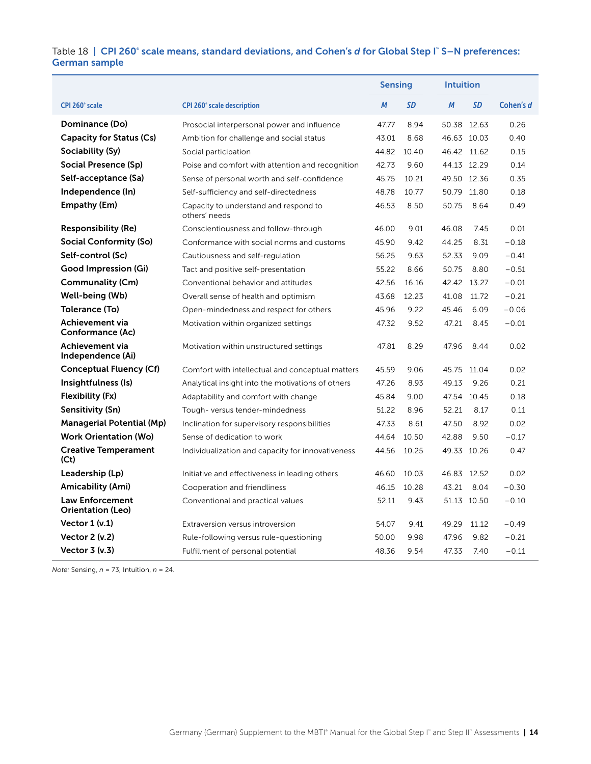#### Table 18 | CPI 260° scale means, standard deviations, and Cohen's *d* for Global Step I™S–N preferences: German sample

|                                             |                                                        | <b>Sensing</b> |       | <b>Intuition</b> |             |           |
|---------------------------------------------|--------------------------------------------------------|----------------|-------|------------------|-------------|-----------|
| CPI 260° scale                              | <b>CPI 260° scale description</b>                      | M              | SD    | M                | <b>SD</b>   | Cohen's d |
| Dominance (Do)                              | Prosocial interpersonal power and influence            | 47.77          | 8.94  |                  | 50.38 12.63 | 0.26      |
| Capacity for Status (Cs)                    | Ambition for challenge and social status               | 43.01          | 8.68  |                  | 46.63 10.03 | 0.40      |
| Sociability (Sy)                            | Social participation                                   | 44.82          | 10.40 |                  | 46.42 11.62 | 0.15      |
| Social Presence (Sp)                        | Poise and comfort with attention and recognition       | 42.73          | 9.60  |                  | 44.13 12.29 | 0.14      |
| Self-acceptance (Sa)                        | Sense of personal worth and self-confidence            | 45.75          | 10.21 | 49.50 12.36      |             | 0.35      |
| Independence (In)                           | Self-sufficiency and self-directedness                 | 48.78          | 10.77 |                  | 50.79 11.80 | 0.18      |
| Empathy (Em)                                | Capacity to understand and respond to<br>others' needs | 46.53          | 8.50  | 50.75            | 8.64        | 0.49      |
| <b>Responsibility (Re)</b>                  | Conscientiousness and follow-through                   | 46.00          | 9.01  | 46.08            | 7.45        | 0.01      |
| Social Conformity (So)                      | Conformance with social norms and customs              | 45.90          | 9.42  | 44.25            | 8.31        | $-0.18$   |
| Self-control (Sc)                           | Cautiousness and self-regulation                       | 56.25          | 9.63  | 52.33            | 9.09        | $-0.41$   |
| Good Impression (Gi)                        | Tact and positive self-presentation                    | 55.22          | 8.66  | 50.75            | 8.80        | $-0.51$   |
| Communality (Cm)                            | Conventional behavior and attitudes                    | 42.56          | 16.16 | 42.42 13.27      |             | $-0.01$   |
| Well-being (Wb)                             | Overall sense of health and optimism                   | 43.68          | 12.23 |                  | 41.08 11.72 | $-0.21$   |
| Tolerance (To)                              | Open-mindedness and respect for others                 | 45.96          | 9.22  | 45.46            | 6.09        | $-0.06$   |
| Achievement via<br>Conformance (Ac)         | Motivation within organized settings                   | 47.32          | 9.52  | 47.21            | 8.45        | $-0.01$   |
| Achievement via<br>Independence (Ai)        | Motivation within unstructured settings                | 47.81          | 8.29  | 47.96            | 8.44        | 0.02      |
| <b>Conceptual Fluency (Cf)</b>              | Comfort with intellectual and conceptual matters       | 45.59          | 9.06  |                  | 45.75 11.04 | 0.02      |
| Insightfulness (Is)                         | Analytical insight into the motivations of others      | 47.26          | 8.93  | 49.13            | 9.26        | 0.21      |
| Flexibility (Fx)                            | Adaptability and comfort with change                   | 45.84          | 9.00  |                  | 47.54 10.45 | 0.18      |
| Sensitivity (Sn)                            | Tough-versus tender-mindedness                         | 51.22          | 8.96  | 52.21            | 8.17        | 0.11      |
| <b>Managerial Potential (Mp)</b>            | Inclination for supervisory responsibilities           | 47.33          | 8.61  | 47.50            | 8.92        | 0.02      |
| <b>Work Orientation (Wo)</b>                | Sense of dedication to work                            | 44.64          | 10.50 | 42.88            | 9.50        | $-0.17$   |
| <b>Creative Temperament</b><br>(Ct)         | Individualization and capacity for innovativeness      | 44.56          | 10.25 |                  | 49.33 10.26 | 0.47      |
| Leadership (Lp)                             | Initiative and effectiveness in leading others         | 46.60          | 10.03 | 46.83 12.52      |             | 0.02      |
| Amicability (Ami)                           | Cooperation and friendliness                           | 46.15          | 10.28 | 43.21            | 8.04        | $-0.30$   |
| <b>Law Enforcement</b><br>Orientation (Leo) | Conventional and practical values                      | 52.11          | 9.43  |                  | 51.13 10.50 | $-0.10$   |
| Vector $1 (v.1)$                            | Extraversion versus introversion                       | 54.07          | 9.41  | 49.29            | 11.12       | $-0.49$   |
| <b>Vector 2 (v.2)</b>                       | Rule-following versus rule-questioning                 | 50.00          | 9.98  | 47.96            | 9.82        | $-0.21$   |
| <b>Vector 3 (v.3)</b>                       | Fulfillment of personal potential                      | 48.36          | 9.54  | 47.33            | 7.40        | $-0.11$   |

*Note:* Sensing, *n* = 73; Intuition, *n* = 24.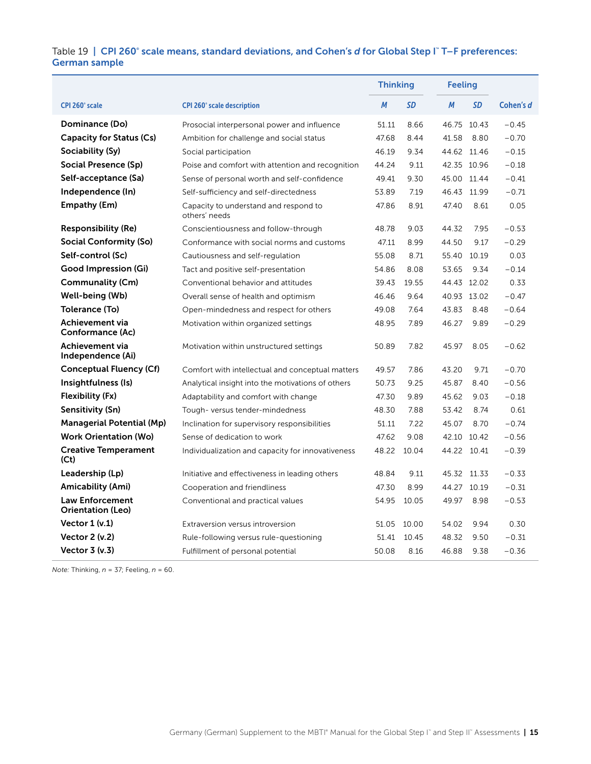#### Table 19 | CPI 260° scale means, standard deviations, and Cohen's *d* for Global Step I™T-F preferences: German sample

|                                             |                                                        | <b>Thinking</b> |           | <b>Feeling</b> |           |           |
|---------------------------------------------|--------------------------------------------------------|-----------------|-----------|----------------|-----------|-----------|
| CPI 260° scale                              | <b>CPI 260° scale description</b>                      | M               | <b>SD</b> | M              | <b>SD</b> | Cohen's d |
| Dominance (Do)                              | Prosocial interpersonal power and influence            | 51.11           | 8.66      | 46.75 10.43    |           | $-0.45$   |
| <b>Capacity for Status (Cs)</b>             | Ambition for challenge and social status               | 47.68           | 8.44      | 41.58          | 8.80      | $-0.70$   |
| Sociability (Sy)                            | Social participation                                   | 46.19           | 9.34      | 44.62 11.46    |           | $-0.15$   |
| Social Presence (Sp)                        | Poise and comfort with attention and recognition       | 44.24           | 9.11      | 42.35 10.96    |           | $-0.18$   |
| Self-acceptance (Sa)                        | Sense of personal worth and self-confidence            | 49.41           | 9.30      | 45.00 11.44    |           | $-0.41$   |
| Independence (In)                           | Self-sufficiency and self-directedness                 | 53.89           | 7.19      | 46.43 11.99    |           | $-0.71$   |
| Empathy (Em)                                | Capacity to understand and respond to<br>others' needs | 47.86           | 8.91      | 47.40          | 8.61      | 0.05      |
| <b>Responsibility (Re)</b>                  | Conscientiousness and follow-through                   | 48.78           | 9.03      | 44.32          | 7.95      | $-0.53$   |
| Social Conformity (So)                      | Conformance with social norms and customs              | 47.11           | 8.99      | 44.50          | 9.17      | $-0.29$   |
| Self-control (Sc)                           | Cautiousness and self-regulation                       | 55.08           | 8.71      | 55.40 10.19    |           | 0.03      |
| Good Impression (Gi)                        | Tact and positive self-presentation                    | 54.86           | 8.08      | 53.65          | 9.34      | $-0.14$   |
| Communality (Cm)                            | Conventional behavior and attitudes                    | 39.43           | 19.55     | 44.43 12.02    |           | 0.33      |
| Well-being (Wb)                             | Overall sense of health and optimism                   | 46.46           | 9.64      | 40.93 13.02    |           | $-0.47$   |
| Tolerance (To)                              | Open-mindedness and respect for others                 | 49.08           | 7.64      | 43.83          | 8.48      | $-0.64$   |
| Achievement via<br>Conformance (Ac)         | Motivation within organized settings                   | 48.95           | 7.89      | 46.27          | 9.89      | $-0.29$   |
| <b>Achievement via</b><br>Independence (Ai) | Motivation within unstructured settings                | 50.89           | 7.82      | 45.97          | 8.05      | $-0.62$   |
| Conceptual Fluency (Cf)                     | Comfort with intellectual and conceptual matters       | 49.57           | 7.86      | 43.20          | 9.71      | $-0.70$   |
| Insightfulness (Is)                         | Analytical insight into the motivations of others      | 50.73           | 9.25      | 45.87          | 8.40      | $-0.56$   |
| Flexibility (Fx)                            | Adaptability and comfort with change                   | 47.30           | 9.89      | 45.62          | 9.03      | $-0.18$   |
| Sensitivity (Sn)                            | Tough-versus tender-mindedness                         | 48.30           | 7.88      | 53.42          | 8.74      | 0.61      |
| <b>Managerial Potential (Mp)</b>            | Inclination for supervisory responsibilities           | 51.11           | 7.22      | 45.07          | 8.70      | $-0.74$   |
| <b>Work Orientation (Wo)</b>                | Sense of dedication to work                            | 47.62           | 9.08      | 42.10 10.42    |           | $-0.56$   |
| <b>Creative Temperament</b><br>(Ct)         | Individualization and capacity for innovativeness      | 48.22           | 10.04     | 44.22 10.41    |           | $-0.39$   |
| Leadership (Lp)                             | Initiative and effectiveness in leading others         | 48.84           | 9.11      | 45.32 11.33    |           | $-0.33$   |
| Amicability (Ami)                           | Cooperation and friendliness                           | 47.30           | 8.99      | 44.27 10.19    |           | $-0.31$   |
| <b>Law Enforcement</b><br>Orientation (Leo) | Conventional and practical values                      | 54.95           | 10.05     | 49.97          | 8.98      | $-0.53$   |
| Vector $1 (v.1)$                            | Extraversion versus introversion                       | 51.05           | 10.00     | 54.02          | 9.94      | 0.30      |
| Vector $2 (v.2)$                            | Rule-following versus rule-questioning                 | 51.41           | 10.45     | 48.32          | 9.50      | $-0.31$   |
| Vector $3(v.3)$                             | Fulfillment of personal potential                      | 50.08           | 8.16      | 46.88          | 9.38      | $-0.36$   |

*Note:* Thinking, *n* = 37; Feeling, *n* = 60.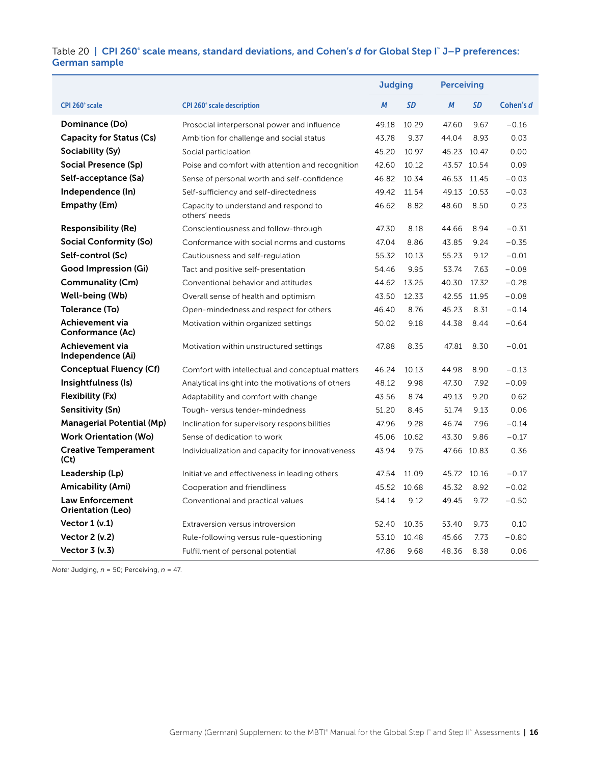#### Table 20 | CPI 260° scale means, standard deviations, and Cohen's *d* for Global Step I™ J–P preferences: German sample

|                                                    |                                                        | <b>Judging</b> |       |             | <b>Perceiving</b> |           |  |  |
|----------------------------------------------------|--------------------------------------------------------|----------------|-------|-------------|-------------------|-----------|--|--|
| <b>CPI 260° scale</b>                              | <b>CPI 260° scale description</b>                      | M              | SD    | M           | <b>SD</b>         | Cohen's d |  |  |
| Dominance (Do)                                     | Prosocial interpersonal power and influence            | 49.18          | 10.29 | 47.60       | 9.67              | $-0.16$   |  |  |
| Capacity for Status (Cs)                           | Ambition for challenge and social status               | 43.78          | 9.37  | 44.04       | 8.93              | 0.03      |  |  |
| Sociability (Sy)                                   | Social participation                                   | 45.20          | 10.97 | 45.23 10.47 |                   | 0.00      |  |  |
| Social Presence (Sp)                               | Poise and comfort with attention and recognition       | 42.60          | 10.12 |             | 43.57 10.54       | 0.09      |  |  |
| Self-acceptance (Sa)                               | Sense of personal worth and self-confidence            | 46.82          | 10.34 | 46.53 11.45 |                   | $-0.03$   |  |  |
| Independence (In)                                  | Self-sufficiency and self-directedness                 | 49.42          | 11.54 |             | 49.13 10.53       | $-0.03$   |  |  |
| Empathy (Em)                                       | Capacity to understand and respond to<br>others' needs | 46.62          | 8.82  | 48.60       | 8.50              | 0.23      |  |  |
| <b>Responsibility (Re)</b>                         | Conscientiousness and follow-through                   | 47.30          | 8.18  | 44.66       | 8.94              | $-0.31$   |  |  |
| <b>Social Conformity (So)</b>                      | Conformance with social norms and customs              | 47.04          | 8.86  | 43.85       | 9.24              | $-0.35$   |  |  |
| Self-control (Sc)                                  | Cautiousness and self-regulation                       | 55.32          | 10.13 | 55.23       | 9.12              | $-0.01$   |  |  |
| <b>Good Impression (Gi)</b>                        | Tact and positive self-presentation                    | 54.46          | 9.95  | 53.74       | 7.63              | $-0.08$   |  |  |
| Communality (Cm)                                   | Conventional behavior and attitudes                    | 44.62          | 13.25 | 40.30       | 17.32             | $-0.28$   |  |  |
| Well-being (Wb)                                    | Overall sense of health and optimism                   | 43.50          | 12.33 |             | 42.55 11.95       | $-0.08$   |  |  |
| Tolerance (To)                                     | Open-mindedness and respect for others                 | 46.40          | 8.76  | 45.23       | 8.31              | $-0.14$   |  |  |
| Achievement via<br>Conformance (Ac)                | Motivation within organized settings                   | 50.02          | 9.18  | 44.38       | 8.44              | $-0.64$   |  |  |
| Achievement via<br>Independence (Ai)               | Motivation within unstructured settings                | 47.88          | 8.35  | 47.81       | 8.30              | $-0.01$   |  |  |
| <b>Conceptual Fluency (Cf)</b>                     | Comfort with intellectual and conceptual matters       | 46.24          | 10.13 | 44.98       | 8.90              | $-0.13$   |  |  |
| Insightfulness (Is)                                | Analytical insight into the motivations of others      | 48.12          | 9.98  | 47.30       | 7.92              | $-0.09$   |  |  |
| Flexibility (Fx)                                   | Adaptability and comfort with change                   | 43.56          | 8.74  | 49.13       | 9.20              | 0.62      |  |  |
| <b>Sensitivity (Sn)</b>                            | Tough-versus tender-mindedness                         | 51.20          | 8.45  | 51.74       | 9.13              | 0.06      |  |  |
| <b>Managerial Potential (Mp)</b>                   | Inclination for supervisory responsibilities           | 47.96          | 9.28  | 46.74       | 7.96              | $-0.14$   |  |  |
| <b>Work Orientation (Wo)</b>                       | Sense of dedication to work                            | 45.06          | 10.62 | 43.30       | 9.86              | $-0.17$   |  |  |
| <b>Creative Temperament</b><br>(Ct)                | Individualization and capacity for innovativeness      | 43.94          | 9.75  |             | 47.66 10.83       | 0.36      |  |  |
| Leadership (Lp)                                    | Initiative and effectiveness in leading others         | 47.54          | 11.09 |             | 45.72 10.16       | $-0.17$   |  |  |
| Amicability (Ami)                                  | Cooperation and friendliness                           | 45.52          | 10.68 | 45.32       | 8.92              | $-0.02$   |  |  |
| <b>Law Enforcement</b><br><b>Orientation (Leo)</b> | Conventional and practical values                      | 54.14          | 9.12  | 49.45       | 9.72              | $-0.50$   |  |  |
| Vector $1 (v.1)$                                   | Extraversion versus introversion                       | 52.40          | 10.35 | 53.40       | 9.73              | 0.10      |  |  |
| <b>Vector 2 (v.2)</b>                              | Rule-following versus rule-questioning                 | 53.10          | 10.48 | 45.66       | 7.73              | $-0.80$   |  |  |
| Vector 3 (v.3)                                     | Fulfillment of personal potential                      | 47.86          | 9.68  | 48.36       | 8.38              | 0.06      |  |  |

*Note:* Judging, *n* = 50; Perceiving, *n* = 47.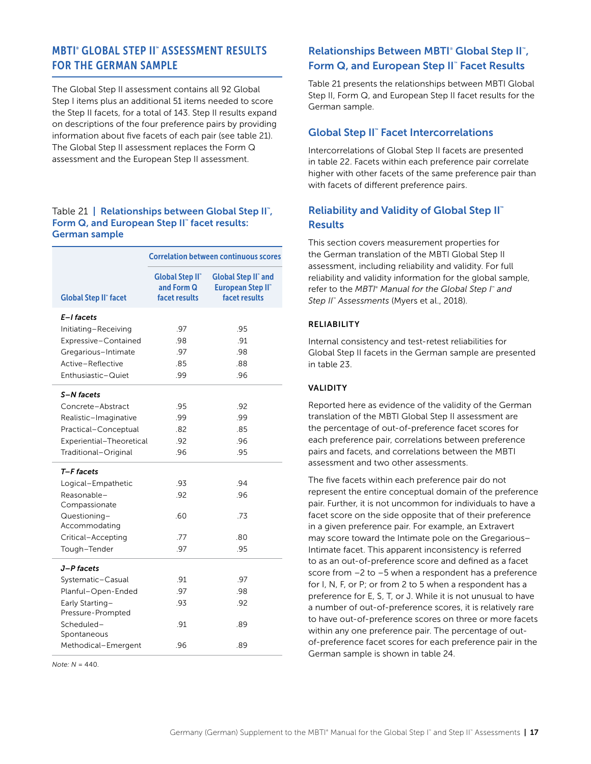# <span id="page-17-0"></span>MBTI® GLOBAL STEP II™ ASSESSMENT RESULTS FOR THE GERMAN SAMPLE

The Global Step II assessment contains all 92 Global Step I items plus an additional 51 items needed to score the Step II facets, for a total of 143. Step II results expand on descriptions of the four preference pairs by providing information about five facets of each pair (see table 21). The Global Step II assessment replaces the Form Q assessment and the European Step II assessment.

### Table 21 | Relationships between Global Step II", Form Q, and European Step II" facet results: German sample

|                               | <b>Correlation between continuous scores</b>         |                                                                           |  |  |  |  |  |  |  |  |  |
|-------------------------------|------------------------------------------------------|---------------------------------------------------------------------------|--|--|--|--|--|--|--|--|--|
| <b>Global Step II" facet</b>  | <b>Global Step II</b><br>and Form Q<br>facet results | <b>Global Step II</b> " and<br><b>European Step II</b> "<br>facet results |  |  |  |  |  |  |  |  |  |
| E-I facets                    |                                                      |                                                                           |  |  |  |  |  |  |  |  |  |
| Initiating-Receiving          | .97                                                  | .95                                                                       |  |  |  |  |  |  |  |  |  |
| Expressive-Contained          | .98                                                  | .91                                                                       |  |  |  |  |  |  |  |  |  |
| Gregarious-Intimate           | .97                                                  | .98                                                                       |  |  |  |  |  |  |  |  |  |
| Active-Reflective             | .85                                                  | .88                                                                       |  |  |  |  |  |  |  |  |  |
| Enthusiastic-Quiet            | .99                                                  | .96                                                                       |  |  |  |  |  |  |  |  |  |
| S-N facets                    |                                                      |                                                                           |  |  |  |  |  |  |  |  |  |
| Concrete-Abstract             | .95                                                  | .92                                                                       |  |  |  |  |  |  |  |  |  |
| Realistic-Imaginative         | .99                                                  | .99                                                                       |  |  |  |  |  |  |  |  |  |
| Practical-Conceptual          | .82                                                  | .85                                                                       |  |  |  |  |  |  |  |  |  |
| Experiential-Theoretical      | .92                                                  | .96                                                                       |  |  |  |  |  |  |  |  |  |
| Traditional-Original          | .96                                                  | .95                                                                       |  |  |  |  |  |  |  |  |  |
| T-F facets                    |                                                      |                                                                           |  |  |  |  |  |  |  |  |  |
| Logical-Empathetic            | .93                                                  | .94                                                                       |  |  |  |  |  |  |  |  |  |
| Reasonable-                   | .92                                                  | .96                                                                       |  |  |  |  |  |  |  |  |  |
| Compassionate                 |                                                      |                                                                           |  |  |  |  |  |  |  |  |  |
| Questioning-<br>Accommodating | .60                                                  | .73                                                                       |  |  |  |  |  |  |  |  |  |
| Critical-Accepting            | .77                                                  | .80                                                                       |  |  |  |  |  |  |  |  |  |
| Tough-Tender                  | .97                                                  | .95                                                                       |  |  |  |  |  |  |  |  |  |
| J-P facets                    |                                                      |                                                                           |  |  |  |  |  |  |  |  |  |
| Systematic-Casual             | .91                                                  | .97                                                                       |  |  |  |  |  |  |  |  |  |
| Planful-Open-Ended            | .97                                                  | .98                                                                       |  |  |  |  |  |  |  |  |  |
| Early Starting-               | .93                                                  | .92                                                                       |  |  |  |  |  |  |  |  |  |
| Pressure-Prompted             |                                                      |                                                                           |  |  |  |  |  |  |  |  |  |
| Scheduled-                    | .91                                                  | .89                                                                       |  |  |  |  |  |  |  |  |  |
| Spontaneous                   |                                                      |                                                                           |  |  |  |  |  |  |  |  |  |
| Methodical-Emergent           | .96                                                  | .89                                                                       |  |  |  |  |  |  |  |  |  |

*Note: N* = 440.

# Relationships Between MBTI<sup>®</sup> Global Step II<sup>™</sup>, Form Q, and European Step II™ Facet Results

Table 21 presents the relationships between MBTI Global Step II, Form Q, and European Step II facet results for the German sample.

# Global Step II<sup>™</sup> Facet Intercorrelations

Intercorrelations of Global Step II facets are presented in table 22. Facets within each preference pair correlate higher with other facets of the same preference pair than with facets of different preference pairs.

# Reliability and Validity of Global Step II™ **Results**

This section covers measurement properties for the German translation of the MBTI Global Step II assessment, including reliability and validity. For full reliability and validity information for the global sample, refer to the *MBTI® Manual for the Global Step I*™ and *Step II™ Assessments* (Myers et al., 2018).

### RELIABILITY

Internal consistency and test-retest reliabilities for Global Step II facets in the German sample are presented in table 23.

### VALIDITY

Reported here as evidence of the validity of the German translation of the MBTI Global Step II assessment are the percentage of out-of-preference facet scores for each preference pair, correlations between preference pairs and facets, and correlations between the MBTI assessment and two other assessments.

The five facets within each preference pair do not represent the entire conceptual domain of the preference pair. Further, it is not uncommon for individuals to have a facet score on the side opposite that of their preference in a given preference pair. For example, an Extravert may score toward the Intimate pole on the Gregarious– Intimate facet. This apparent inconsistency is referred to as an out-of-preference score and defined as a facet score from –2 to –5 when a respondent has a preference for I, N, F, or P; or from 2 to 5 when a respondent has a preference for E, S, T, or J. While it is not unusual to have a number of out-of-preference scores, it is relatively rare to have out-of-preference scores on three or more facets within any one preference pair. The percentage of outof-preference facet scores for each preference pair in the German sample is shown in table 24.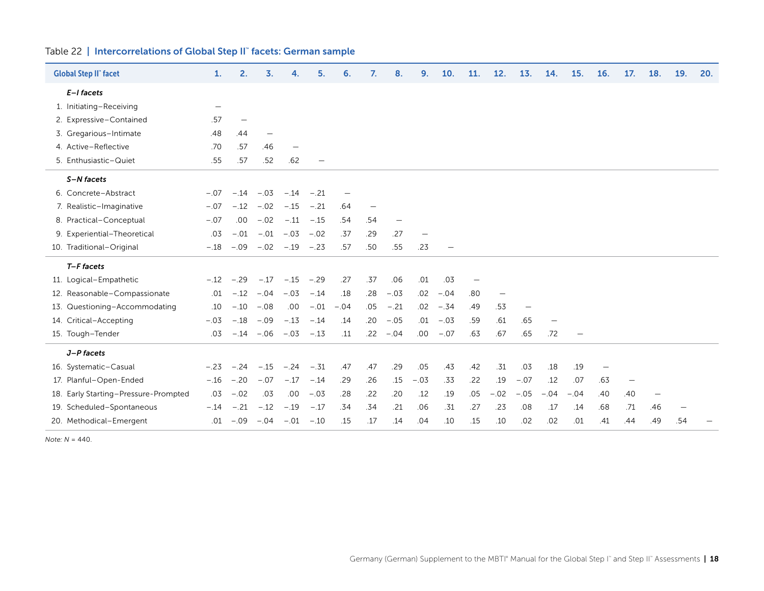|  | Table 22   Intercorrelations of Global Step II" facets: German sample |  |  |  |  |
|--|-----------------------------------------------------------------------|--|--|--|--|
|--|-----------------------------------------------------------------------|--|--|--|--|

| <b>Global Step II" facet</b>         | $\mathbf{1}$ .    | 2.     | 3.                |              | 5.     | 6.     | 7.  | 8.          | 9.                       | 10.    | 11. | 12.                      | 13.    | 14.                      | 15.    | 16. | 17. | 18. | 19. | 20. |
|--------------------------------------|-------------------|--------|-------------------|--------------|--------|--------|-----|-------------|--------------------------|--------|-----|--------------------------|--------|--------------------------|--------|-----|-----|-----|-----|-----|
| E-I facets                           |                   |        |                   |              |        |        |     |             |                          |        |     |                          |        |                          |        |     |     |     |     |     |
| 1. Initiating-Receiving              | $\qquad \qquad -$ |        |                   |              |        |        |     |             |                          |        |     |                          |        |                          |        |     |     |     |     |     |
| 2. Expressive-Contained              | .57               |        |                   |              |        |        |     |             |                          |        |     |                          |        |                          |        |     |     |     |     |     |
| 3. Gregarious-Intimate               | .48               | .44    | $\qquad \qquad -$ |              |        |        |     |             |                          |        |     |                          |        |                          |        |     |     |     |     |     |
| 4. Active-Reflective                 | .70               | .57    | .46               |              |        |        |     |             |                          |        |     |                          |        |                          |        |     |     |     |     |     |
| 5. Enthusiastic-Quiet                | .55               | .57    | .52               | .62          |        |        |     |             |                          |        |     |                          |        |                          |        |     |     |     |     |     |
| S-N facets                           |                   |        |                   |              |        |        |     |             |                          |        |     |                          |        |                          |        |     |     |     |     |     |
| 6. Concrete-Abstract                 | $-.07$            | $-.14$ | $-.03$            | $-.14$       | $-.21$ |        |     |             |                          |        |     |                          |        |                          |        |     |     |     |     |     |
| 7. Realistic-Imaginative             | $-.07$            | $-.12$ | $-.02$            | $-.15$       | $-.21$ | .64    |     |             |                          |        |     |                          |        |                          |        |     |     |     |     |     |
| 8. Practical-Conceptual              | $-.07$            | .00.   | $-.02$            | $-.11$       | $-.15$ | .54    | .54 |             |                          |        |     |                          |        |                          |        |     |     |     |     |     |
| 9. Experiential-Theoretical          | .03               | $-.01$ | $-.01$            | $-.03$       | $-.02$ | .37    | .29 | .27         | $\overline{\phantom{m}}$ |        |     |                          |        |                          |        |     |     |     |     |     |
| 10. Traditional-Original             | $-.18$            | $-.09$ | $-.02$            | $-.19 - .23$ |        | .57    | .50 | .55         | .23                      |        |     |                          |        |                          |        |     |     |     |     |     |
| T-F facets                           |                   |        |                   |              |        |        |     |             |                          |        |     |                          |        |                          |        |     |     |     |     |     |
| 11. Logical-Empathetic               | $-.12$            | $-.29$ | $-.17$            | $-.15$       | $-.29$ | .27    | .37 | .06         | .01                      | .03    |     |                          |        |                          |        |     |     |     |     |     |
| 12. Reasonable-Compassionate         | .01               | $-.12$ | $-.04$            | $-.03$       | $-.14$ | .18    | .28 | $-.03$      | .02                      | $-.04$ | .80 | $\overline{\phantom{m}}$ |        |                          |        |     |     |     |     |     |
| 13. Questioning-Accommodating        | .10               | $-.10$ | $-.08$            | .00.         | $-.01$ | $-.04$ | .05 | $-.21$      | .02                      | $-.34$ | .49 | .53                      |        |                          |        |     |     |     |     |     |
| 14. Critical-Accepting               | $-.03$            | $-.18$ | $-.09$            | $-.13$       | $-.14$ | .14    | .20 | $-.05$      | .01                      | $-.03$ | .59 | .61                      | .65    | $\overline{\phantom{m}}$ |        |     |     |     |     |     |
| 15. Tough-Tender                     | .03               | $-.14$ | $-.06$            | $-.03$       | $-.13$ | .11    |     | $.22 - .04$ | .00.                     | $-.07$ | .63 | .67                      | .65    | .72                      |        |     |     |     |     |     |
| J-P facets                           |                   |        |                   |              |        |        |     |             |                          |        |     |                          |        |                          |        |     |     |     |     |     |
| 16. Systematic-Casual                | $-.23$            | $-.24$ | $-.15$            | $-.24$       | $-.31$ | .47    | .47 | .29         | .05                      | .43    | .42 | .31                      | .03    | .18                      | .19    |     |     |     |     |     |
| 17. Planful-Open-Ended               | $-.16$            | $-.20$ | $-.07$            | $-.17$       | $-.14$ | .29    | .26 | .15         | $-.03$                   | .33    | .22 | .19                      | $-.07$ | .12                      | .07    | .63 |     |     |     |     |
| 18. Early Starting-Pressure-Prompted | .03               | $-.02$ | .03               | .00          | $-.03$ | .28    | .22 | .20         | .12                      | .19    | .05 | $-.02$                   | $-.05$ | $-.04$                   | $-.04$ | .40 | .40 |     |     |     |
| 19. Scheduled-Spontaneous            | $-.14$            | $-.21$ | $-.12$            | $-.19$       | $-.17$ | .34    | .34 | .21         | .06                      | .31    | .27 | .23                      | .08    | .17                      | .14    | .68 | .71 | .46 |     |     |
| 20. Methodical-Emergent              | .01               | $-.09$ | $-.04$            | $-.01$       | $-.10$ | .15    | .17 | .14         | .04                      | .10    | .15 | .10                      | .02    | .02                      | .01    | .41 | .44 | .49 | .54 |     |

*Note: N* = 440.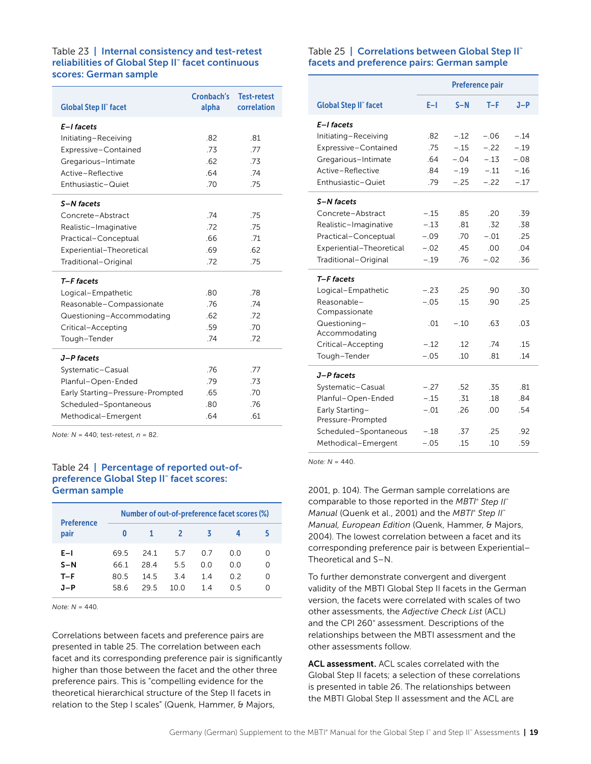#### Table 23 | Internal consistency and test-retest reliabilities of Global Step II™ facet continuous scores: German sample

| <b>Global Step II" facet</b>                | Cronbach's<br>alpha | <b>Test-retest</b><br>correlation |
|---------------------------------------------|---------------------|-----------------------------------|
| E-I facets<br>Initiating-Receiving          | .82                 | -81                               |
|                                             | .73                 | .77                               |
| Expressive-Contained<br>Gregarious-Intimate | .62                 | .73                               |
| Active-Reflective                           | 64                  | .74                               |
| Enthusiastic-Quiet                          | .70                 | .75                               |
| S-N facets                                  |                     |                                   |
| Concrete-Abstract                           | .74                 | .75                               |
| Realistic-Imaginative                       | .72                 | .75                               |
| Practical-Conceptual                        | 66                  | .71                               |
| Experiential-Theoretical                    | .69                 | .62                               |
| Traditional-Original                        | .72                 | .75                               |
| T-F facets                                  |                     |                                   |
| Logical-Empathetic                          | 80                  | 78                                |
| Reasonable-Compassionate                    | -76                 | .74                               |
| Questioning-Accommodating                   | .62                 | 72                                |
| Critical-Accepting                          | .59                 | .70                               |
| Tough-Tender                                | .74                 | .72                               |
| J-P facets                                  |                     |                                   |
| Systematic-Casual                           | .76                 | .77                               |
| Planful-Open-Ended                          | .79                 | .73                               |
| Early Starting-Pressure-Prompted            | .65                 | .70                               |
| Scheduled-Spontaneous                       | .80                 | .76                               |
| Methodical-Emergent                         | .64                 | .61                               |

*Note: N* = 440; test-retest, *n* = 82.

## Table 24 | Percentage of reported out-ofpreference Global Step II™ facet scores: German sample

| <b>Preference</b> | Number of out-of-preference facet scores (%) |      |      |     |     |   |  |  |  |  |  |  |  |  |  |
|-------------------|----------------------------------------------|------|------|-----|-----|---|--|--|--|--|--|--|--|--|--|
| pair              | o                                            |      | $-2$ | - 3 | д   |   |  |  |  |  |  |  |  |  |  |
| $E-I$             | 69.5                                         | 241  | 57   | 0 7 | n n | O |  |  |  |  |  |  |  |  |  |
| $S-N$             | 66 1                                         | 28.4 | 55   | 0 O | 0 O | O |  |  |  |  |  |  |  |  |  |
| $T - F$           | 80.5                                         | 14.5 | 34   | 14  | 0 2 | O |  |  |  |  |  |  |  |  |  |
| .1-P              | 58.6                                         | 295  | 10 O | 14  | ሰ 5 | O |  |  |  |  |  |  |  |  |  |

*Note: N* = 440.

Correlations between facets and preference pairs are presented in table 25. The correlation between each facet and its corresponding preference pair is significantly higher than those between the facet and the other three preference pairs. This is "compelling evidence for the theoretical hierarchical structure of the Step II facets in relation to the Step I scales" (Quenk, Hammer, & Majors,

#### Table 25 | Correlations between Global Step II<sup>™</sup> facets and preference pairs: German sample

|                              | <b>Preference pair</b> |        |        |        |  |  |  |  |  |  |
|------------------------------|------------------------|--------|--------|--------|--|--|--|--|--|--|
| <b>Global Step II" facet</b> | E-I                    | $S-N$  | $T-F$  | $J-P$  |  |  |  |  |  |  |
| E-I facets                   |                        |        |        |        |  |  |  |  |  |  |
| Initiating-Receiving         | .82                    | $-.12$ | $-.06$ | $-.14$ |  |  |  |  |  |  |
| Expressive-Contained         | .75                    | $-.15$ | $-.22$ | $-.19$ |  |  |  |  |  |  |
| Gregarious-Intimate          | .64                    | $-.04$ | $-.13$ | $-.08$ |  |  |  |  |  |  |
| Active-Reflective            | .84                    | $-.19$ | $-.11$ | $-.16$ |  |  |  |  |  |  |
| Enthusiastic-Quiet           | .79                    | $-.25$ | $-.22$ | $-.17$ |  |  |  |  |  |  |
| S-N facets                   |                        |        |        |        |  |  |  |  |  |  |
| Concrete-Abstract            | $-.15$                 | .85    | .20    | .39    |  |  |  |  |  |  |
| Realistic-Imaginative        | $-.13$                 | .81    | .32    | .38    |  |  |  |  |  |  |
| Practical-Conceptual         | $-.09$                 | .70    | $-.01$ | .25    |  |  |  |  |  |  |
| Experiential-Theoretical     | $-.02$                 | .45    | .00    | .04    |  |  |  |  |  |  |
| Traditional-Original         | $-.19$                 | .76    | $-.02$ | .36    |  |  |  |  |  |  |
| T-F facets                   |                        |        |        |        |  |  |  |  |  |  |
| Logical-Empathetic           | $-.23$                 | .25    | .90    | .30    |  |  |  |  |  |  |
| Reasonable-<br>Compassionate | $-.05$                 | .15    | .90    | .25    |  |  |  |  |  |  |
| Questioning-                 | .01                    | $-.10$ | .63    | .03    |  |  |  |  |  |  |
| Accommodating                |                        |        |        |        |  |  |  |  |  |  |
| Critical-Accepting           | $-.12$                 | 12     | 74     | 15     |  |  |  |  |  |  |
| Tough-Tender                 | $-.05$                 | .10    | .81    | .14    |  |  |  |  |  |  |
| J-P facets                   |                        |        |        |        |  |  |  |  |  |  |
| Systematic-Casual            | $-.27$                 | .52    | .35    | .81    |  |  |  |  |  |  |
| Planful-Open-Ended           | $-.15$                 | .31    | .18    | .84    |  |  |  |  |  |  |
| Early Starting-              | $-.01$                 | .26    | .00    | .54    |  |  |  |  |  |  |
| Pressure-Prompted            |                        |        |        |        |  |  |  |  |  |  |
| Scheduled-Spontaneous        | $-.18$                 | .37    | .25    | .92    |  |  |  |  |  |  |
| Methodical-Emergent          | $-.05$                 | .15    | .10    | .59    |  |  |  |  |  |  |

*Note: N* = 440.

2001, p. 104). The German sample correlations are comparable to those reported in the *MBTI*®  *Step II*™ *Manual* (Quenk et al., 2001) and the *MBTI*®  *Step II*™ *Manual, European Edition* (Quenk, Hammer, & Majors, 2004). The lowest correlation between a facet and its corresponding preference pair is between Experiential– Theoretical and S–N.

To further demonstrate convergent and divergent validity of the MBTI Global Step II facets in the German version, the facets were correlated with scales of two other assessments, the *Adjective Check List* (ACL) and the CPI 260<sup>®</sup> assessment. Descriptions of the relationships between the MBTI assessment and the other assessments follow.

ACL assessment. ACL scales correlated with the Global Step II facets; a selection of these correlations is presented in table 26. The relationships between the MBTI Global Step II assessment and the ACL are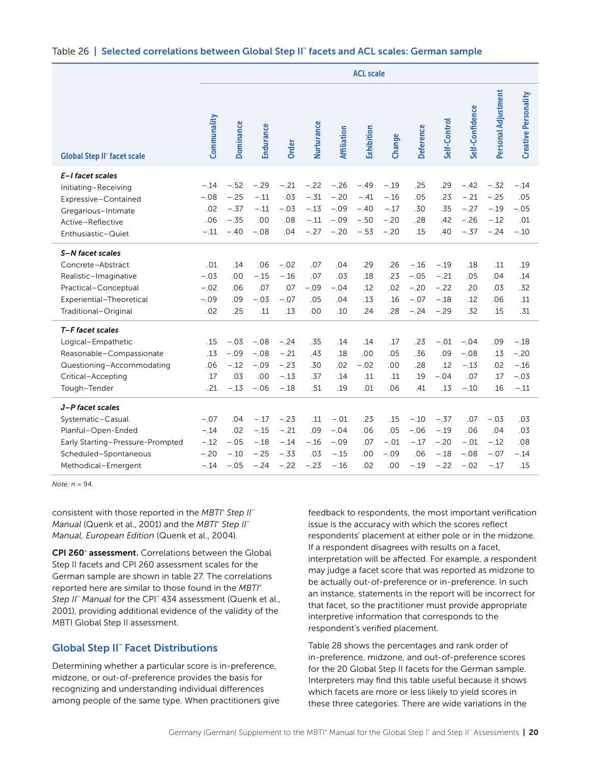#### <span id="page-20-0"></span>Table 26 ∣ Selected correlations between Global Step II™ facets and ACL scales: German sample

|                                    | <b>ACL scale</b> |                  |                  |               |                  |                    |                  |                  |                  |              |                  |                     |                             |
|------------------------------------|------------------|------------------|------------------|---------------|------------------|--------------------|------------------|------------------|------------------|--------------|------------------|---------------------|-----------------------------|
| <b>Global Step II" facet scale</b> | Communality      | <b>Dominance</b> | <b>Endurance</b> | Order         | Nurturance       | <b>Affiliation</b> | Exhibition       | Change           | <b>Deference</b> | Self-Control | Self-Confidence  | Personal Adjustment | <b>Creative Personality</b> |
| E-I facet scales                   |                  |                  |                  |               |                  |                    |                  |                  |                  |              |                  |                     |                             |
| Initiating-Receiving               | $-.14$           | $-.52$           | $-.29$           | $-.21$        | $-.22$           | $-.26$             | $-.49$           | $-.19$           | .25              | .29          | $-.42$           | $-.32$              | $-.14$                      |
| Expressive-Contained               | $-.08$           | $-.25$<br>$-.37$ | $-.11$           | .03<br>$-.03$ | $-.31$           | $-.20$<br>$-.09$   | $-.41$           | $-.16$           | .05              | .23<br>.35   | $-.21$<br>$-.27$ | $-.25$              | .05                         |
| Gregarious-Intimate                | .02<br>.06       | $-.35$           | $-.11$<br>.00    | .08           | $-.13$<br>$-.11$ | $-.09$             | $-.40$<br>$-.50$ | $-.17$<br>$-.20$ | .30<br>.28       | .42          | $-.26$           | $-.19$<br>$-.12$    | $-.05$<br>.01               |
| Active-Reflective                  | $-.11$           | $-.40$           | $-.08$           | .04           | $-.27$           | $-.20$             | $-.53$           | $-.20$           | .15              | .40          | $-.37$           | $-.24$              | $-.10$                      |
| Enthusiastic-Quiet                 |                  |                  |                  |               |                  |                    |                  |                  |                  |              |                  |                     |                             |
| S-N facet scales                   |                  |                  |                  |               |                  |                    |                  |                  |                  |              |                  |                     |                             |
| Concrete-Abstract                  | .01              | .14              | .06              | $-.02$        | .07              | .04                | .29              | .26              | $-.16$           | $-.19$       | .18              | .11                 | .19                         |
| Realistic-Imaginative              | $-.03$           | .00              | $-.15$           | $-.16$        | .07              | .03                | .18              | .23              | $-.05$           | $-.21$       | .05              | .04                 | .14                         |
| Practical-Conceptual               | $-.02$           | .06              | .07              | .07           | $-.09$           | $-.04$             | .12              | .02              | $-.20$           | $-.22$       | .20              | .03                 | .32                         |
| Experiential-Theoretical           | $-.09$           | .09              | $-.03$           | $-.07$        | .05              | .04                | .13              | .16              | $-.07$           | $-.18$       | .12              | .06                 | .11                         |
| Traditional-Original               | .02              | .25              | .11              | .13           | .00              | .10                | .24              | .28              | $-.24$           | $-.29$       | .32              | .15                 | .31                         |
| T-F facet scales                   |                  |                  |                  |               |                  |                    |                  |                  |                  |              |                  |                     |                             |
| Logical-Empathetic                 | .15              | $-.03$           | $-.08$           | $-.24$        | .35              | .14                | .14              | .17              | .23              | $-.01$       | $-.04$           | .09                 | $-.18$                      |
| Reasonable-Compassionate           | .13              | $-.09$           | $-.08$           | $-.21$        | .43              | .18                | .00              | .05              | .36              | .09          | $-.08$           | .13                 | $-.20$                      |
| Questioning-Accommodating          | .06              | $-.12$           | $-.09$           | $-.23$        | .30              | .02                | $-.02$           | .00              | .28              | .12          | $-.13$           | .02                 | $-.16$                      |
| Critical-Accepting                 | .17              | .03              | .00              | $-.13$        | .37              | .14                | .11              | .11              | .19              | $-.04$       | .07              | .17                 | $-.03$                      |
| Tough-Tender                       | .21              | $-.13$           | $-.06$           | $-.18$        | .51              | .19                | .01              | .06              | .41              | .13          | $-.10$           | .16                 | $-.11$                      |
| J-P facet scales                   |                  |                  |                  |               |                  |                    |                  |                  |                  |              |                  |                     |                             |
| Systematic-Casual                  | $-.07$           | .04              | $-.17$           | $-.23$        | .11              | $-.01$             | .23              | .15              | $-.10$           | $-.37$       | .07              | $-.03$              | .03                         |
| Planful-Open-Ended                 | $-.14$           | .02              | $-.15$           | $-.21$        | .09              | $-.04$             | .06              | .05              | $-.06$           | $-.19$       | .06              | .04                 | .03                         |
| Early Starting-Pressure-Prompted   | $-.12$           | $-.05$           | $-.18$           | $-.14$        | $-.16$           | $-.09$             | .07              | $-.01$           | $-.17$           | $-.20$       | $-.01$           | $-.12$              | .08                         |
| Scheduled-Spontaneous              | $-.20$           | $-.10$           | $-.25$           | $-.33$        | .03              | $-.15$             | .00              | $-.09$           | .06              | $-.18$       | $-.08$           | $-.07$              | $-.14$                      |
| Methodical-Emergent                | $-.14$           | $-.05$           | $-.24$           | $-.22$        | $-.23$           | $-.16$             | .02              | .00              | $-.19$           | $-.22$       | $-.02$           | $-.17$              | .15                         |

*Note: n* = 94.

consistent with those reported in the *MBTI*®  *Step II*™ *Manual* (Quenk et al., 2001) and the *MBTI*®  *Step II*™ *Manual, European Edition* (Quenk et al., 2004).

CPI 260° assessment. Correlations between the Global Step II facets and CPI 260 assessment scales for the German sample are shown in table 27. The correlations reported here are similar to those found in the *MBTI*® *Step II*™  *Manual* for the CPI™ 434 assessment (Quenk et al., 2001), providing additional evidence of the validity of the MBTI Global Step II assessment.

### Global Step II™ Facet Distributions

Determining whether a particular score is in-preference, midzone, or out-of-preference provides the basis for recognizing and understanding individual differences among people of the same type. When practitioners give feedback to respondents, the most important verification issue is the accuracy with which the scores reflect respondents' placement at either pole or in the midzone. If a respondent disagrees with results on a facet, interpretation will be affected. For example, a respondent may judge a facet score that was reported as midzone to be actually out-of-preference or in-preference. In such an instance, statements in the report will be incorrect for that facet, so the practitioner must provide appropriate interpretive information that corresponds to the respondent's verified placement.

Table 28 shows the percentages and rank order of in-preference, midzone, and out-of-preference scores for the 20 Global Step II facets for the German sample. Interpreters may find this table useful because it shows which facets are more or less likely to yield scores in these three categories. There are wide variations in the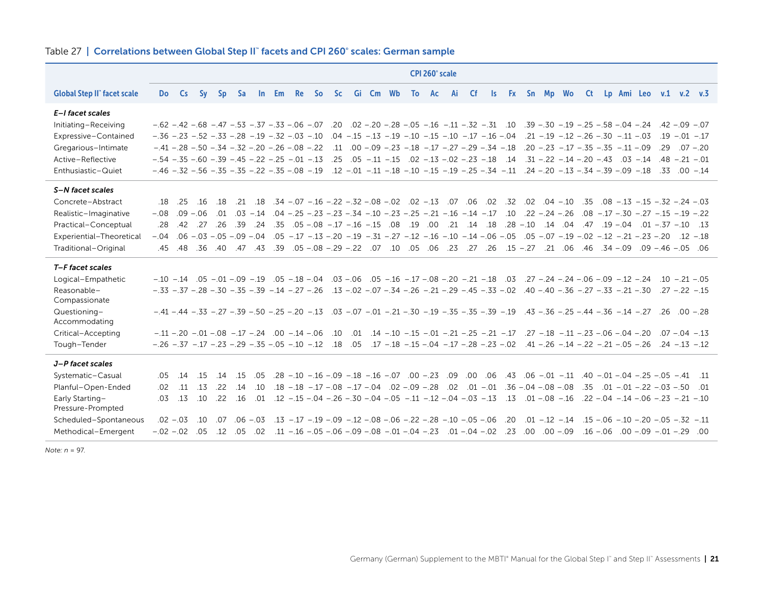|                                      | CPI 260° scale                                                       |             |                                                                                                                                                                               |           |                 |                   |     |  |  |                                                                                                 |  |  |     |                                                             |                   |    |     |             |             |           |                                                                                                          |  |     |                                                                                                                                                                                                                               |  |
|--------------------------------------|----------------------------------------------------------------------|-------------|-------------------------------------------------------------------------------------------------------------------------------------------------------------------------------|-----------|-----------------|-------------------|-----|--|--|-------------------------------------------------------------------------------------------------|--|--|-----|-------------------------------------------------------------|-------------------|----|-----|-------------|-------------|-----------|----------------------------------------------------------------------------------------------------------|--|-----|-------------------------------------------------------------------------------------------------------------------------------------------------------------------------------------------------------------------------------|--|
| <b>Global Step II" facet scale</b>   | <b>Do</b>                                                            | <b>Cs</b>   | <b>Sy</b>                                                                                                                                                                     | <b>Sp</b> | <b>Sa</b>       |                   |     |  |  | In Em Re So Sc Gi Cm Wb                                                                         |  |  |     | To Ac                                                       | Ai                | Cf | ls. |             | Fx Sn Mp Wo |           | <b>Ct</b>                                                                                                |  |     | Lp Ami Leo v.1 v.2 v.3                                                                                                                                                                                                        |  |
| E-I facet scales                     |                                                                      |             |                                                                                                                                                                               |           |                 |                   |     |  |  |                                                                                                 |  |  |     |                                                             |                   |    |     |             |             |           |                                                                                                          |  |     |                                                                                                                                                                                                                               |  |
| Initiating-Receiving                 | $-.62 - .42 - .68 - .47 - .53 - .37 - .33 - .06 - .07$               |             |                                                                                                                                                                               |           |                 |                   |     |  |  |                                                                                                 |  |  |     |                                                             |                   |    |     |             |             |           |                                                                                                          |  |     | $-0.25 - 0.20 - 0.20 - 0.25 - 0.05 - 0.16 - 0.11 - 0.32 - 0.10$ . $-0.30 - 0.30 - 0.19 - 0.25 - 0.58 - 0.04 - 0.24$ . $-0.42 - 0.09 - 0.07$                                                                                   |  |
| Expressive-Contained                 | $-.36 - .23 - .52 - .33 - .28 - .19 - .32 - .03 - .10$               |             |                                                                                                                                                                               |           |                 |                   |     |  |  |                                                                                                 |  |  |     | $.04 - .15 - .13 - .19 - .10 - .15 - .10 - .17 - .16 - .04$ |                   |    |     |             |             |           | $.21 - .19 - .12 - .26 - .30 - .11 - .03$                                                                |  |     | $.19 - .01 - .17$                                                                                                                                                                                                             |  |
| Gregarious-Intimate                  |                                                                      |             | $-.41 - .28 - .50 - .34 - .32 - .20 - .26 - .08 - .22$                                                                                                                        |           |                 |                   |     |  |  |                                                                                                 |  |  |     |                                                             |                   |    |     |             |             |           | .11 .00 - .09 - .23 - .18 - .17 - .27 - .29 - .34 - .18 .20 - .23 - .17 - .35 - .35 - .11 - .09          |  | .29 | $.07 - .20$                                                                                                                                                                                                                   |  |
| Active-Reflective                    | $-.54 - .35 - .60 - .39 - .45 - .22 - .25 - .01 - .13$               |             |                                                                                                                                                                               |           |                 |                   |     |  |  |                                                                                                 |  |  |     |                                                             |                   |    |     |             |             |           |                                                                                                          |  |     | $.25$ $.05$ $-11$ $-15$ $.02$ $-13$ $-02$ $-23$ $-18$ $.14$ $.31$ $-22$ $-14$ $-20$ $-43$ $.03$ $-14$ $.48$ $-21$ $-01$                                                                                                       |  |
| Enthusiastic-Quiet                   | $-.46$ $-.32$ $-.56$ $-.35$ $-.35$ $-.22$ $-.35$ $-.08$ $-.19$       |             |                                                                                                                                                                               |           |                 |                   |     |  |  |                                                                                                 |  |  |     |                                                             |                   |    |     |             |             |           | $.12 - .01 - .11 - .18 - .10 - .15 - .19 - .25 - .34 - .11$ $.24 - .20 - .13 - .34 - .39 - .09 - .18$    |  |     | $.33 \t .00 - 14$                                                                                                                                                                                                             |  |
| S-N facet scales                     |                                                                      |             |                                                                                                                                                                               |           |                 |                   |     |  |  |                                                                                                 |  |  |     |                                                             |                   |    |     |             |             |           |                                                                                                          |  |     |                                                                                                                                                                                                                               |  |
| Concrete-Abstract                    | 18                                                                   | .25         | .16                                                                                                                                                                           | .18       |                 | $.21 \quad .18$   |     |  |  | .32. 02. 06. 07. 15. 02. 02. 02. 08. -.32. 07. 16. 07. 04.                                      |  |  |     |                                                             |                   |    |     |             |             |           |                                                                                                          |  |     | $0.02$ $0.04$ $-0.10$ $0.35$ $0.08$ $-0.13$ $-0.15$ $-0.32$ $-0.24$ $-0.03$                                                                                                                                                   |  |
| Realistic-Imaginative                | $-.08$                                                               |             | $.09 - .06$                                                                                                                                                                   |           |                 |                   |     |  |  |                                                                                                 |  |  |     |                                                             |                   |    |     |             |             |           |                                                                                                          |  |     | .22 - 19 -.31 -.32 -.30 -.37 -.30 -.34 -.34 -.31 -.31 -.31 -.31 -.31 -.32 -.34 -.34 -.34 -.34 -.34 -.35 -.34 -.35 -.34                                                                                                        |  |
| Practical-Conceptual                 | .28                                                                  | .42         | .27                                                                                                                                                                           | .26       | .39             | .24               | .35 |  |  | $.05 - .08 - .17 - .16 - .15$ .08                                                               |  |  | .19 | .00                                                         | $.21$ $.14$ $.18$ |    |     | $.28 - .10$ |             | $.14$ .04 |                                                                                                          |  |     | $.47$ $.19 - .04$ $.01 - .37 - .10$ $.13$                                                                                                                                                                                     |  |
| Experiential-Theoretical             | $-.04$                                                               |             |                                                                                                                                                                               |           |                 |                   |     |  |  |                                                                                                 |  |  |     |                                                             |                   |    |     |             |             |           |                                                                                                          |  |     |                                                                                                                                                                                                                               |  |
| Traditional-Original                 | .45                                                                  | .48         |                                                                                                                                                                               |           |                 |                   |     |  |  |                                                                                                 |  |  |     |                                                             |                   |    |     |             |             |           |                                                                                                          |  |     | 06. 05 – 46 – 09. 09 – 34. 06. 21. 27. 15. 26. 27. 23. 06. 05. 10. 10. 27. 29 – 08 – 05. 39. 47. 47. 40. 36.                                                                                                                  |  |
| T-F facet scales                     |                                                                      |             |                                                                                                                                                                               |           |                 |                   |     |  |  |                                                                                                 |  |  |     |                                                             |                   |    |     |             |             |           |                                                                                                          |  |     |                                                                                                                                                                                                                               |  |
| Logical-Empathetic                   |                                                                      |             |                                                                                                                                                                               |           |                 |                   |     |  |  |                                                                                                 |  |  |     |                                                             |                   |    |     |             |             |           |                                                                                                          |  |     | $-0.21$ $-0.21$ $-0.21$ $-0.21$ $-0.21$ $-0.5$ $-0.5$ $-0.5$ $-0.5$ $-0.5$ $-0.5$ $-0.5$ $-0.5$ $-0.5$ $-0.5$ $-0.5$ $-0.5$ $-0.5$ $-0.5$ $-0.5$ $-0.5$ $-0.5$ $-0.5$ $-0.5$ $-0.5$ $-0.5$ $-0.5$ $-0.5$ $-0.5$ $-0.5$ $-0.5$ |  |
| Reasonable-<br>Compassionate         | $-.33 - .37 - .28 - .30 - .35 - .39 - .14 - .27 - .26$               |             |                                                                                                                                                                               |           |                 |                   |     |  |  |                                                                                                 |  |  |     |                                                             |                   |    |     |             |             |           | $.13 - .02 - .07 - .34 - .26 - .21 - .29 - .45 - .33 - .02$ $.40 - .40 - .36 - .27 - .33 - .21 - .30$    |  |     | $.27 - .22 - .15$                                                                                                                                                                                                             |  |
| Questioning-                         |                                                                      |             | $-.44$ $-.35$ $-.27$ $-.39$ $-.50$ $-.25$ $-.20$ $-.13$ $.03$ $-.07$ $-.01$ $-.21$ $-.30$ $-.19$ $-.35$ $-.35$ $-.39$ $-.19$ $-.43$ $-.36$ $-.25$ $-.44$ $-.36$ $-.14$ $-.27$ |           |                 |                   |     |  |  |                                                                                                 |  |  |     |                                                             |                   |    |     |             |             |           |                                                                                                          |  |     | $.26 \t .00 - .28$                                                                                                                                                                                                            |  |
| Accommodating                        |                                                                      |             |                                                                                                                                                                               |           |                 |                   |     |  |  |                                                                                                 |  |  |     |                                                             |                   |    |     |             |             |           |                                                                                                          |  |     |                                                                                                                                                                                                                               |  |
| Critical-Accepting                   |                                                                      |             | $-.11-.20-.01-.08-.17-.24.00-.14-.06$                                                                                                                                         |           |                 |                   |     |  |  | .10                                                                                             |  |  |     |                                                             |                   |    |     |             |             |           | $0.01 - 0.14 - 0.15 - 0.01 - 0.21 - 0.25 - 0.21 - 0.17 - 0.27 - 0.18 - 0.11 - 0.23 - 0.06 - 0.04 - 0.20$ |  |     | $.07 - .04 - .13$                                                                                                                                                                                                             |  |
| Tough-Tender                         | $-.26$ $-.37$ $-.17$ $-.23$ $-.29$ $-.35$ $-.05$ $-.10$ $-.12$ $.18$ |             |                                                                                                                                                                               |           |                 |                   |     |  |  |                                                                                                 |  |  |     |                                                             |                   |    |     |             |             |           | .05 .17 $-18$ $-15$ $-04$ $-17$ $-28$ $-23$ $-02$ $-41$ $-26$ $-14$ $-22$ $-21$ $-05$ $-26$              |  |     | $.24 - .13 - .12$                                                                                                                                                                                                             |  |
| J-P facet scales                     |                                                                      |             |                                                                                                                                                                               |           |                 |                   |     |  |  |                                                                                                 |  |  |     |                                                             |                   |    |     |             |             |           |                                                                                                          |  |     |                                                                                                                                                                                                                               |  |
| Systematic-Casual                    | .05                                                                  | .14         | .15                                                                                                                                                                           | .14       | .15             | .05               |     |  |  |                                                                                                 |  |  |     |                                                             |                   |    |     |             |             |           |                                                                                                          |  |     | 11. 41– 05 – 05 – 04 – 04 – 04. 41. - 04. - 04. - 06. - 00. - 09. - 00. - 07. - 00. - 16. - 09. - 16. - 10. - 8.                                                                                                              |  |
| Planful-Open-Ended                   | .02                                                                  | .11         | .13                                                                                                                                                                           | .22       | .14             | .10               |     |  |  | $.18 - .18 - .17 - .08 - .17 - .04 - .02 - .09 - .28 - .02 - .01 - .01 - .36 - .04 - .08 - .08$ |  |  |     |                                                             |                   |    |     |             |             |           |                                                                                                          |  |     | $.35$ $.01$ $-.01$ $-.22$ $-.03$ $-.50$ $.01$                                                                                                                                                                                 |  |
| Early Starting-<br>Pressure-Prompted | .03                                                                  | .13         | .10                                                                                                                                                                           |           | $.22 \quad .16$ |                   |     |  |  |                                                                                                 |  |  |     |                                                             |                   |    |     |             |             |           |                                                                                                          |  |     | .01 - 21 - 06 - - 04 - - 04 - - 02 - - 04 - 05 - - 01 - - 04 - - 04 - - 04 - - 04 - - 04 - - 04 - - 04 - - 12 - 12                                                                                                            |  |
| Scheduled-Spontaneous                |                                                                      | $.02 - .03$ | .10                                                                                                                                                                           |           |                 | $.07$ $.06 - .03$ |     |  |  |                                                                                                 |  |  |     |                                                             |                   |    |     |             |             |           |                                                                                                          |  |     | .11 – 32 – 05 – 05 – 06 – 10 – 15 – 14 – 12 – 01 – 02 – 06 – 06 – 08 – 02 – 08 – 08 – 09 – 09 – 19 – 10 – 13 – 15                                                                                                             |  |
| Methodical-Emergent                  | $-.02$ $-.02$ .05                                                    |             |                                                                                                                                                                               |           |                 |                   |     |  |  |                                                                                                 |  |  |     |                                                             |                   |    |     |             |             |           |                                                                                                          |  |     | 00. 29 – 01. – 09. – 00. – 06. – 16. – 09. – 00. – 02. – 02. – 04. – 10. – 23. – 04. – 08. – 06. – 06. – 16. – 11. – 02. – 12.                                                                                                |  |

#### Table 27 | Correlations between Global Step II™ facets and CPI 260° scales: German sample

*Note: n* = 97.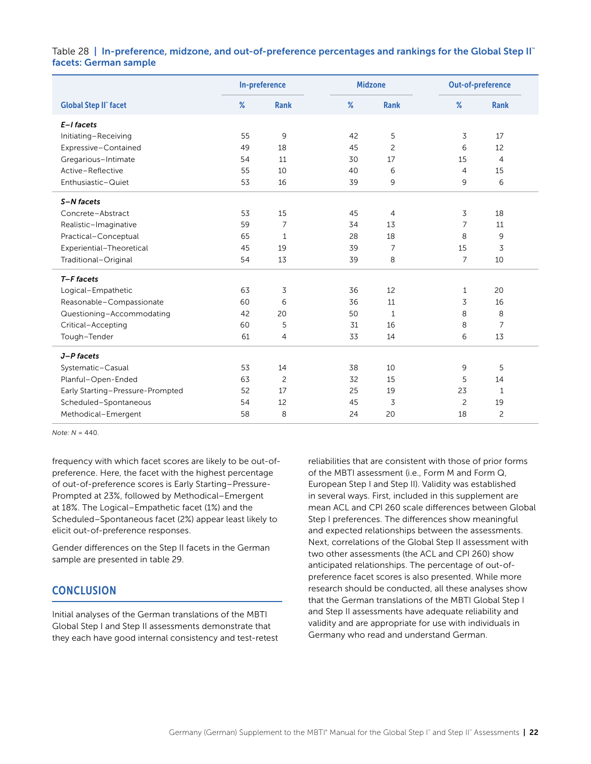### <span id="page-22-0"></span>Table 28 | In-preference, midzone, and out-of-preference percentages and rankings for the Global Step II" facets: German sample

|                                  | In-preference |              |      | <b>Midzone</b> | Out-of-preference |                |  |
|----------------------------------|---------------|--------------|------|----------------|-------------------|----------------|--|
| <b>Global Step II" facet</b>     | $\%$          | <b>Rank</b>  | $\%$ | <b>Rank</b>    | %                 | <b>Rank</b>    |  |
| E-I facets                       |               |              |      |                |                   |                |  |
| Initiating-Receiving             | 55            | 9            | 42   | 5              | 3                 | 17             |  |
| Expressive-Contained             | 49            | 18           | 45   | $\overline{c}$ | 6                 | 12             |  |
| Gregarious-Intimate              | 54            | 11           | 30   | 17             | 15                | $\overline{4}$ |  |
| Active-Reflective                | 55            | 10           | 40   | 6              | 4                 | 15             |  |
| Enthusiastic-Quiet               | 53            | 16           | 39   | 9              | 9                 | 6              |  |
| S-N facets                       |               |              |      |                |                   |                |  |
| Concrete-Abstract                | 53            | 15           | 45   | $\overline{4}$ | 3                 | 18             |  |
| Realistic-Imaginative            | 59            | 7            | 34   | 13             | 7                 | 11             |  |
| Practical-Conceptual             | 65            | $\mathbf{1}$ | 28   | 18             | 8                 | 9              |  |
| Experiential-Theoretical         | 45            | 19           | 39   | 7              | 15                | 3              |  |
| Traditional-Original             | 54            | 13           | 39   | 8              | $\overline{7}$    | 10             |  |
| T-F facets                       |               |              |      |                |                   |                |  |
| Logical-Empathetic               | 63            | 3            | 36   | 12             | 1                 | 20             |  |
| Reasonable-Compassionate         | 60            | 6            | 36   | 11             | 3                 | 16             |  |
| Questioning-Accommodating        | 42            | 20           | 50   | 1              | 8                 | 8              |  |
| Critical-Accepting               | 60            | 5            | 31   | 16             | 8                 | 7              |  |
| Tough-Tender                     | 61            | 4            | 33   | 14             | 6                 | 13             |  |
| J-P facets                       |               |              |      |                |                   |                |  |
| Systematic-Casual                | 53            | 14           | 38   | 10             | 9                 | 5              |  |
| Planful-Open-Ended               | 63            | 2            | 32   | 15             | 5                 | 14             |  |
| Early Starting-Pressure-Prompted | 52            | 17           | 25   | 19             | 23                | $\mathbf{1}$   |  |
| Scheduled-Spontaneous            | 54            | 12           | 45   | 3              | $\overline{c}$    | 19             |  |
| Methodical-Emergent              | 58            | 8            | 24   | 20             | 18                | 2              |  |

*Note: N* = 440.

frequency with which facet scores are likely to be out-ofpreference. Here, the facet with the highest percentage of out-of-preference scores is Early Starting–Pressure-Prompted at 23%, followed by Methodical–Emergent at 18%. The Logical–Empathetic facet (1%) and the Scheduled–Spontaneous facet (2%) appear least likely to elicit out-of-preference responses.

Gender differences on the Step II facets in the German sample are presented in table 29.

# **CONCLUSION**

Initial analyses of the German translations of the MBTI Global Step I and Step II assessments demonstrate that they each have good internal consistency and test-retest

reliabilities that are consistent with those of prior forms of the MBTI assessment (i.e., Form M and Form Q, European Step I and Step II). Validity was established in several ways. First, included in this supplement are mean ACL and CPI 260 scale differences between Global Step I preferences. The differences show meaningful and expected relationships between the assessments. Next, correlations of the Global Step II assessment with two other assessments (the ACL and CPI 260) show anticipated relationships. The percentage of out-ofpreference facet scores is also presented. While more research should be conducted, all these analyses show that the German translations of the MBTI Global Step I and Step II assessments have adequate reliability and validity and are appropriate for use with individuals in Germany who read and understand German.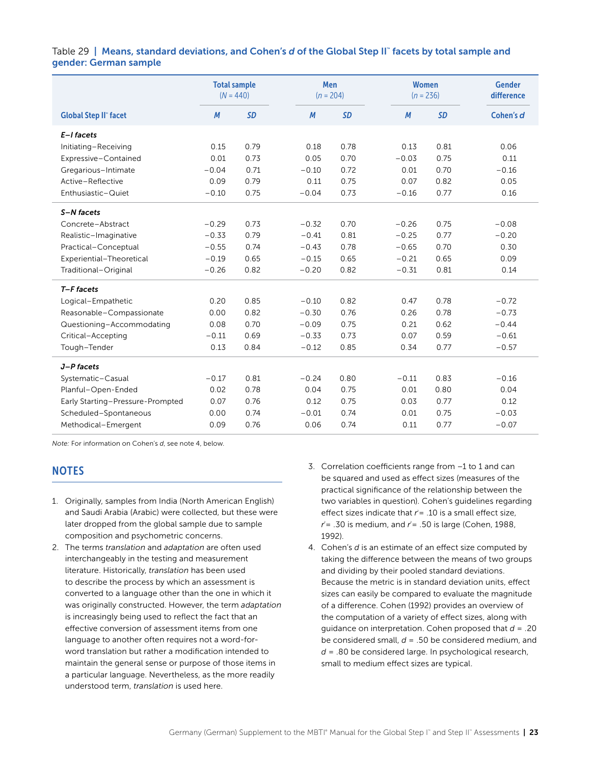### <span id="page-23-0"></span>Table 29 | Means, standard deviations, and Cohen's *d* of the Global Step II™ facets by total sample and gender: German sample

|                                  | <b>Total sample</b><br>$(N = 440)$ |           | <b>Men</b><br>$(n = 204)$ |           |         | <b>Women</b><br>$(n = 236)$ | <b>Gender</b><br>difference |
|----------------------------------|------------------------------------|-----------|---------------------------|-----------|---------|-----------------------------|-----------------------------|
| <b>Global Step II" facet</b>     | $\boldsymbol{M}$                   | <b>SD</b> | M                         | <b>SD</b> | M       | <b>SD</b>                   | Cohen's d                   |
| $E-I$ facets                     |                                    |           |                           |           |         |                             |                             |
| Initiating-Receiving             | 0.15                               | 0.79      | 0.18                      | 0.78      | 0.13    | 0.81                        | 0.06                        |
| Expressive-Contained             | 0.01                               | 0.73      | 0.05                      | 0.70      | $-0.03$ | 0.75                        | 0.11                        |
| Gregarious-Intimate              | $-0.04$                            | 0.71      | $-0.10$                   | 0.72      | 0.01    | 0.70                        | $-0.16$                     |
| Active-Reflective                | 0.09                               | 0.79      | 0.11                      | 0.75      | 0.07    | 0.82                        | 0.05                        |
| Enthusiastic-Quiet               | $-0.10$                            | 0.75      | $-0.04$                   | 0.73      | $-0.16$ | 0.77                        | 0.16                        |
| S-N facets                       |                                    |           |                           |           |         |                             |                             |
| Concrete-Abstract                | $-0.29$                            | 0.73      | $-0.32$                   | 0.70      | $-0.26$ | 0.75                        | $-0.08$                     |
| Realistic-Imaginative            | $-0.33$                            | 0.79      | $-0.41$                   | 0.81      | $-0.25$ | 0.77                        | $-0.20$                     |
| Practical-Conceptual             | $-0.55$                            | 0.74      | $-0.43$                   | 0.78      | $-0.65$ | 0.70                        | 0.30                        |
| Experiential-Theoretical         | $-0.19$                            | 0.65      | $-0.15$                   | 0.65      | $-0.21$ | 0.65                        | 0.09                        |
| Traditional-Original             | $-0.26$                            | 0.82      | $-0.20$                   | 0.82      | $-0.31$ | 0.81                        | 0.14                        |
| T-F facets                       |                                    |           |                           |           |         |                             |                             |
| Logical-Empathetic               | 0.20                               | 0.85      | $-0.10$                   | 0.82      | 0.47    | 0.78                        | $-0.72$                     |
| Reasonable-Compassionate         | 0.00                               | 0.82      | $-0.30$                   | 0.76      | 0.26    | 0.78                        | $-0.73$                     |
| Questioning-Accommodating        | 0.08                               | 0.70      | $-0.09$                   | 0.75      | 0.21    | 0.62                        | $-0.44$                     |
| Critical-Accepting               | $-0.11$                            | 0.69      | $-0.33$                   | 0.73      | 0.07    | 0.59                        | $-0.61$                     |
| Tough-Tender                     | 0.13                               | 0.84      | $-0.12$                   | 0.85      | 0.34    | 0.77                        | $-0.57$                     |
| J-P facets                       |                                    |           |                           |           |         |                             |                             |
| Systematic-Casual                | $-0.17$                            | 0.81      | $-0.24$                   | 0.80      | $-0.11$ | 0.83                        | $-0.16$                     |
| Planful-Open-Ended               | 0.02                               | 0.78      | 0.04                      | 0.75      | 0.01    | 0.80                        | 0.04                        |
| Early Starting-Pressure-Prompted | 0.07                               | 0.76      | 0.12                      | 0.75      | 0.03    | 0.77                        | 0.12                        |
| Scheduled-Spontaneous            | 0.00                               | 0.74      | $-0.01$                   | 0.74      | 0.01    | 0.75                        | $-0.03$                     |
| Methodical-Emergent              | 0.09                               | 0.76      | 0.06                      | 0.74      | 0.11    | 0.77                        | $-0.07$                     |

*Note:* For information on Cohen's *d*, see note 4, below.

# **NOTES**

- 1. Originally, samples from India (North American English) and Saudi Arabia (Arabic) were collected, but these were later dropped from the global sample due to sample composition and psychometric concerns.
- 2. The terms *translation* and *adaptation* are often used interchangeably in the testing and measurement literature. Historically, *translation* has been used to describe the process by which an assessment is converted to a language other than the one in which it was originally constructed. However, the term *adaptation*  is increasingly being used to reflect the fact that an effective conversion of assessment items from one language to another often requires not a word-forword translation but rather a modification intended to maintain the general sense or purpose of those items in a particular language. Nevertheless, as the more readily understood term, *translation* is used here.
- 3. Correlation coefficients range from –1 to 1 and can be squared and used as effect sizes (measures of the practical significance of the relationship between the two variables in question). Cohen's guidelines regarding effect sizes indicate that  $r = 0.10$  is a small effect size, *r* 2 = .30 is medium, and *r* 2 = .50 is large (Cohen, 1988, 1992).
- 4. Cohen's *d* is an estimate of an effect size computed by taking the difference between the means of two groups and dividing by their pooled standard deviations. Because the metric is in standard deviation units, effect sizes can easily be compared to evaluate the magnitude of a difference. Cohen (1992) provides an overview of the computation of a variety of effect sizes, along with guidance on interpretation. Cohen proposed that *d* = .20 be considered small, *d* = .50 be considered medium, and *d* = .80 be considered large. In psychological research, small to medium effect sizes are typical.